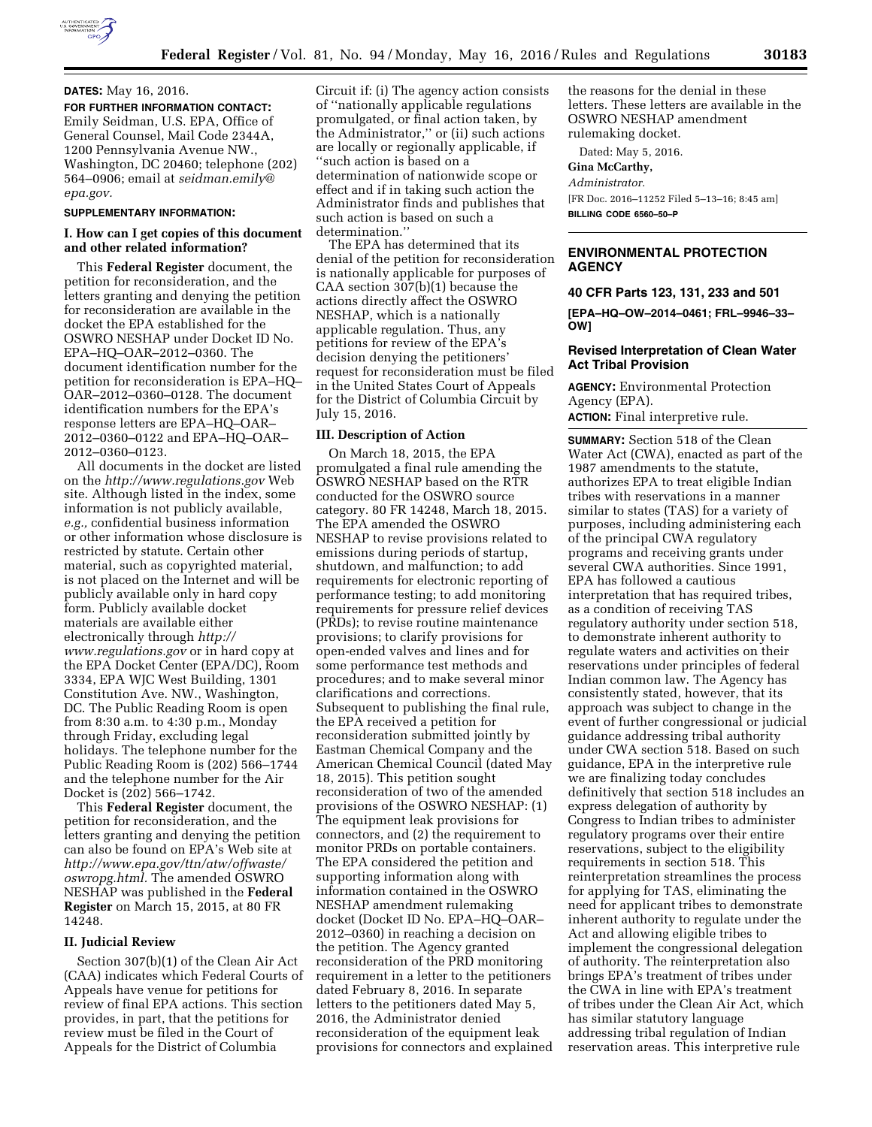# **DATES:** May 16, 2016.

**FOR FURTHER INFORMATION CONTACT:**  Emily Seidman, U.S. EPA, Office of General Counsel, Mail Code 2344A, 1200 Pennsylvania Avenue NW., Washington, DC 20460; telephone (202) 564–0906; email at *[seidman.emily@](mailto:seidman.emily@epa.gov) [epa.gov.](mailto:seidman.emily@epa.gov)* 

#### **SUPPLEMENTARY INFORMATION:**

# **I. How can I get copies of this document and other related information?**

This **Federal Register** document, the petition for reconsideration, and the letters granting and denying the petition for reconsideration are available in the docket the EPA established for the OSWRO NESHAP under Docket ID No. EPA–HQ–OAR–2012–0360. The document identification number for the petition for reconsideration is EPA–HQ– OAR–2012–0360–0128. The document identification numbers for the EPA's response letters are EPA–HQ–OAR– 2012–0360–0122 and EPA–HQ–OAR– 2012–0360–0123.

All documents in the docket are listed on the *<http://www.regulations.gov>*Web site. Although listed in the index, some information is not publicly available, *e.g.,* confidential business information or other information whose disclosure is restricted by statute. Certain other material, such as copyrighted material, is not placed on the Internet and will be publicly available only in hard copy form. Publicly available docket materials are available either electronically through *[http://](http://www.regulations.gov) [www.regulations.gov](http://www.regulations.gov)* or in hard copy at the EPA Docket Center (EPA/DC), Room 3334, EPA WJC West Building, 1301 Constitution Ave. NW., Washington, DC. The Public Reading Room is open from 8:30 a.m. to 4:30 p.m., Monday through Friday, excluding legal holidays. The telephone number for the Public Reading Room is (202) 566–1744 and the telephone number for the Air Docket is (202) 566–1742.

This **Federal Register** document, the petition for reconsideration, and the letters granting and denying the petition can also be found on EPA's Web site at *[http://www.epa.gov/ttn/atw/offwaste/](http://www.epa.gov/ttn/atw/offwaste/oswropg.html) [oswropg.html.](http://www.epa.gov/ttn/atw/offwaste/oswropg.html)* The amended OSWRO NESHAP was published in the **Federal Register** on March 15, 2015, at 80 FR 14248.

## **II. Judicial Review**

Section 307(b)(1) of the Clean Air Act (CAA) indicates which Federal Courts of Appeals have venue for petitions for review of final EPA actions. This section provides, in part, that the petitions for review must be filed in the Court of Appeals for the District of Columbia

Circuit if: (i) The agency action consists of ''nationally applicable regulations promulgated, or final action taken, by the Administrator,'' or (ii) such actions are locally or regionally applicable, if ''such action is based on a determination of nationwide scope or effect and if in taking such action the Administrator finds and publishes that such action is based on such a determination.''

The EPA has determined that its denial of the petition for reconsideration is nationally applicable for purposes of CAA section 307(b)(1) because the actions directly affect the OSWRO NESHAP, which is a nationally applicable regulation. Thus, any petitions for review of the EPA's decision denying the petitioners' request for reconsideration must be filed in the United States Court of Appeals for the District of Columbia Circuit by July 15, 2016.

# **III. Description of Action**

On March 18, 2015, the EPA promulgated a final rule amending the OSWRO NESHAP based on the RTR conducted for the OSWRO source category. 80 FR 14248, March 18, 2015. The EPA amended the OSWRO NESHAP to revise provisions related to emissions during periods of startup, shutdown, and malfunction; to add requirements for electronic reporting of performance testing; to add monitoring requirements for pressure relief devices (PRDs); to revise routine maintenance provisions; to clarify provisions for open-ended valves and lines and for some performance test methods and procedures; and to make several minor clarifications and corrections. Subsequent to publishing the final rule, the EPA received a petition for reconsideration submitted jointly by Eastman Chemical Company and the American Chemical Council (dated May 18, 2015). This petition sought reconsideration of two of the amended provisions of the OSWRO NESHAP: (1) The equipment leak provisions for connectors, and (2) the requirement to monitor PRDs on portable containers. The EPA considered the petition and supporting information along with information contained in the OSWRO NESHAP amendment rulemaking docket (Docket ID No. EPA–HQ–OAR– 2012–0360) in reaching a decision on the petition. The Agency granted reconsideration of the PRD monitoring requirement in a letter to the petitioners dated February 8, 2016. In separate letters to the petitioners dated May 5, 2016, the Administrator denied reconsideration of the equipment leak provisions for connectors and explained

the reasons for the denial in these letters. These letters are available in the OSWRO NESHAP amendment rulemaking docket.

Dated: May 5, 2016.

## **Gina McCarthy,**

*Administrator.* 

[FR Doc. 2016–11252 Filed 5–13–16; 8:45 am] **BILLING CODE 6560–50–P** 

# **ENVIRONMENTAL PROTECTION AGENCY**

### **40 CFR Parts 123, 131, 233 and 501**

**[EPA–HQ–OW–2014–0461; FRL–9946–33– OW]** 

## **Revised Interpretation of Clean Water Act Tribal Provision**

**AGENCY:** Environmental Protection Agency (EPA).

**ACTION:** Final interpretive rule.

**SUMMARY:** Section 518 of the Clean Water Act (CWA), enacted as part of the 1987 amendments to the statute, authorizes EPA to treat eligible Indian tribes with reservations in a manner similar to states (TAS) for a variety of purposes, including administering each of the principal CWA regulatory programs and receiving grants under several CWA authorities. Since 1991, EPA has followed a cautious interpretation that has required tribes, as a condition of receiving TAS regulatory authority under section 518, to demonstrate inherent authority to regulate waters and activities on their reservations under principles of federal Indian common law. The Agency has consistently stated, however, that its approach was subject to change in the event of further congressional or judicial guidance addressing tribal authority under CWA section 518. Based on such guidance, EPA in the interpretive rule we are finalizing today concludes definitively that section 518 includes an express delegation of authority by Congress to Indian tribes to administer regulatory programs over their entire reservations, subject to the eligibility requirements in section 518. This reinterpretation streamlines the process for applying for TAS, eliminating the need for applicant tribes to demonstrate inherent authority to regulate under the Act and allowing eligible tribes to implement the congressional delegation of authority. The reinterpretation also brings EPA's treatment of tribes under the CWA in line with EPA's treatment of tribes under the Clean Air Act, which has similar statutory language addressing tribal regulation of Indian reservation areas. This interpretive rule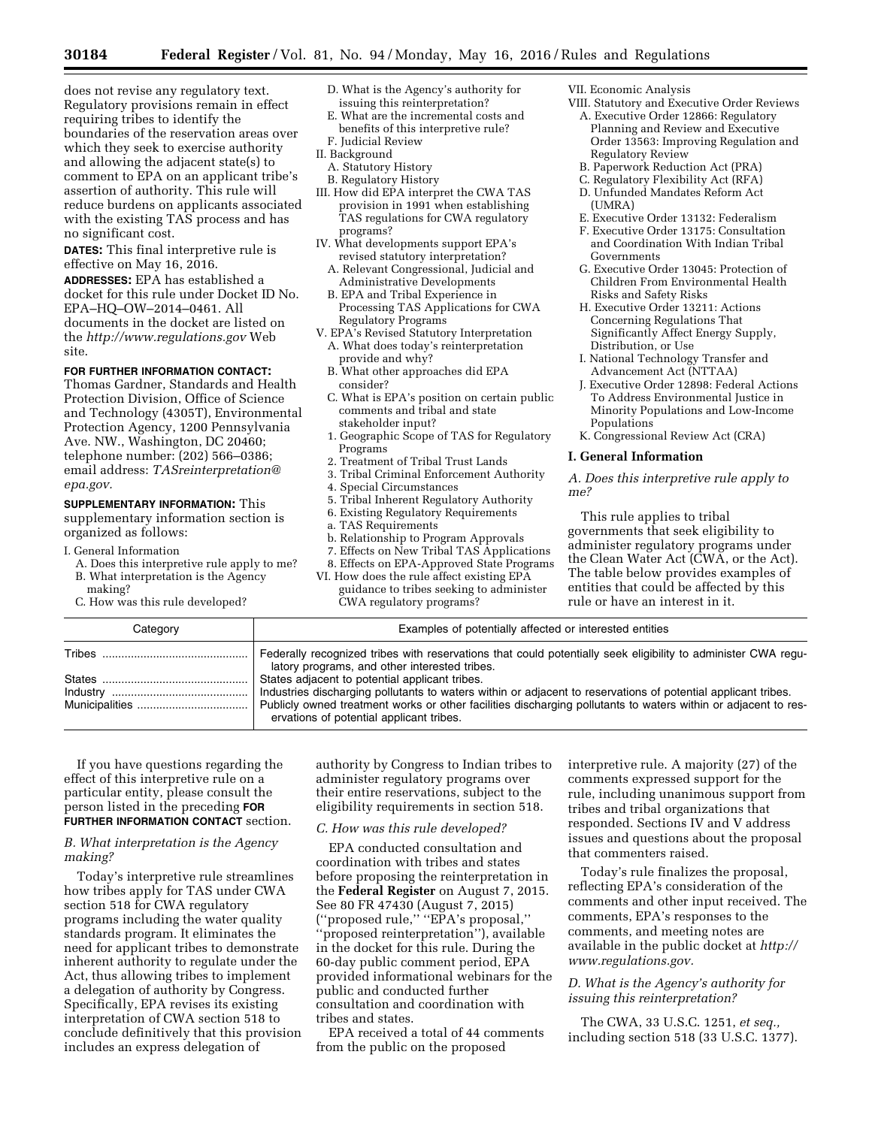does not revise any regulatory text. Regulatory provisions remain in effect requiring tribes to identify the boundaries of the reservation areas over which they seek to exercise authority and allowing the adjacent state(s) to comment to EPA on an applicant tribe's assertion of authority. This rule will reduce burdens on applicants associated with the existing TAS process and has no significant cost.

**DATES:** This final interpretive rule is effective on May 16, 2016.

**ADDRESSES:** EPA has established a docket for this rule under Docket ID No. EPA–HQ–OW–2014–0461. All documents in the docket are listed on the *<http://www.regulations.gov>*Web site.

# **FOR FURTHER INFORMATION CONTACT:**

Thomas Gardner, Standards and Health Protection Division, Office of Science and Technology (4305T), Environmental Protection Agency, 1200 Pennsylvania Ave. NW., Washington, DC 20460; telephone number: (202) 566–0386; email address: *[TASreinterpretation@](mailto:TASreinterpretation@epa.gov) [epa.gov.](mailto:TASreinterpretation@epa.gov)* 

**SUPPLEMENTARY INFORMATION:** This supplementary information section is organized as follows:

- I. General Information
	- A. Does this interpretive rule apply to me? B. What interpretation is the Agency making?
	- C. How was this rule developed?
- D. What is the Agency's authority for issuing this reinterpretation?
- E. What are the incremental costs and benefits of this interpretive rule?
- F. Judicial Review
- II. Background
	- A. Statutory History B. Regulatory History
- III. How did EPA interpret the CWA TAS provision in 1991 when establishing TAS regulations for CWA regulatory programs?
- IV. What developments support EPA's revised statutory interpretation?
	- A. Relevant Congressional, Judicial and Administrative Developments
- B. EPA and Tribal Experience in Processing TAS Applications for CWA Regulatory Programs
- V. EPA's Revised Statutory Interpretation A. What does today's reinterpretation provide and why?
	- B. What other approaches did EPA consider?
- C. What is EPA's position on certain public comments and tribal and state stakeholder input?
- 1. Geographic Scope of TAS for Regulatory Programs
- 2. Treatment of Tribal Trust Lands
- 3. Tribal Criminal Enforcement Authority
- 4. Special Circumstances
- 5. Tribal Inherent Regulatory Authority
- 6. Existing Regulatory Requirements
- a. TAS Requirements
- b. Relationship to Program Approvals
- 7. Effects on New Tribal TAS Applications
- 8. Effects on EPA-Approved State Programs VI. How does the rule affect existing EPA guidance to tribes seeking to administer CWA regulatory programs?

VII. Economic Analysis

- VIII. Statutory and Executive Order Reviews A. Executive Order 12866: Regulatory
	- Planning and Review and Executive Order 13563: Improving Regulation and Regulatory Review
	- B. Paperwork Reduction Act (PRA)
	- C. Regulatory Flexibility Act (RFA)
	- D. Unfunded Mandates Reform Act (UMRA)
	- E. Executive Order 13132: Federalism
	- F. Executive Order 13175: Consultation and Coordination With Indian Tribal Governments
- G. Executive Order 13045: Protection of Children From Environmental Health Risks and Safety Risks
- H. Executive Order 13211: Actions Concerning Regulations That Significantly Affect Energy Supply, Distribution, or Use
- I. National Technology Transfer and Advancement Act (NTTAA)
- J. Executive Order 12898: Federal Actions To Address Environmental Justice in Minority Populations and Low-Income Populations
- K. Congressional Review Act (CRA)

#### **I. General Information**

*A. Does this interpretive rule apply to me?* 

This rule applies to tribal governments that seek eligibility to administer regulatory programs under the Clean Water Act (CWA, or the Act). The table below provides examples of entities that could be affected by this rule or have an interest in it.

| Category | Examples of potentially affected or interested entities                                                                                                         |
|----------|-----------------------------------------------------------------------------------------------------------------------------------------------------------------|
|          | Federally recognized tribes with reservations that could potentially seek eligibility to administer CWA regu-<br>latory programs, and other interested tribes.  |
|          | States adjacent to potential applicant tribes.<br>Industries discharging pollutants to waters within or adjacent to reservations of potential applicant tribes. |
|          | Publicly owned treatment works or other facilities discharging pollutants to waters within or adjacent to res-<br>ervations of potential applicant tribes.      |

If you have questions regarding the effect of this interpretive rule on a particular entity, please consult the person listed in the preceding **FOR FURTHER INFORMATION CONTACT** section.

# *B. What interpretation is the Agency making?*

Today's interpretive rule streamlines how tribes apply for TAS under CWA section 518 for CWA regulatory programs including the water quality standards program. It eliminates the need for applicant tribes to demonstrate inherent authority to regulate under the Act, thus allowing tribes to implement a delegation of authority by Congress. Specifically, EPA revises its existing interpretation of CWA section 518 to conclude definitively that this provision includes an express delegation of

authority by Congress to Indian tribes to administer regulatory programs over their entire reservations, subject to the eligibility requirements in section 518.

# *C. How was this rule developed?*

EPA conducted consultation and coordination with tribes and states before proposing the reinterpretation in the **Federal Register** on August 7, 2015. See 80 FR 47430 (August 7, 2015) (''proposed rule,'' ''EPA's proposal,'' ''proposed reinterpretation''), available in the docket for this rule. During the 60-day public comment period, EPA provided informational webinars for the public and conducted further consultation and coordination with tribes and states.

EPA received a total of 44 comments from the public on the proposed

interpretive rule. A majority (27) of the comments expressed support for the rule, including unanimous support from tribes and tribal organizations that responded. Sections IV and V address issues and questions about the proposal that commenters raised.

Today's rule finalizes the proposal, reflecting EPA's consideration of the comments and other input received. The comments, EPA's responses to the comments, and meeting notes are available in the public docket at *[http://](http://www.regulations.gov) [www.regulations.gov.](http://www.regulations.gov)* 

# *D. What is the Agency's authority for issuing this reinterpretation?*

The CWA, 33 U.S.C. 1251, *et seq.,*  including section 518 (33 U.S.C. 1377).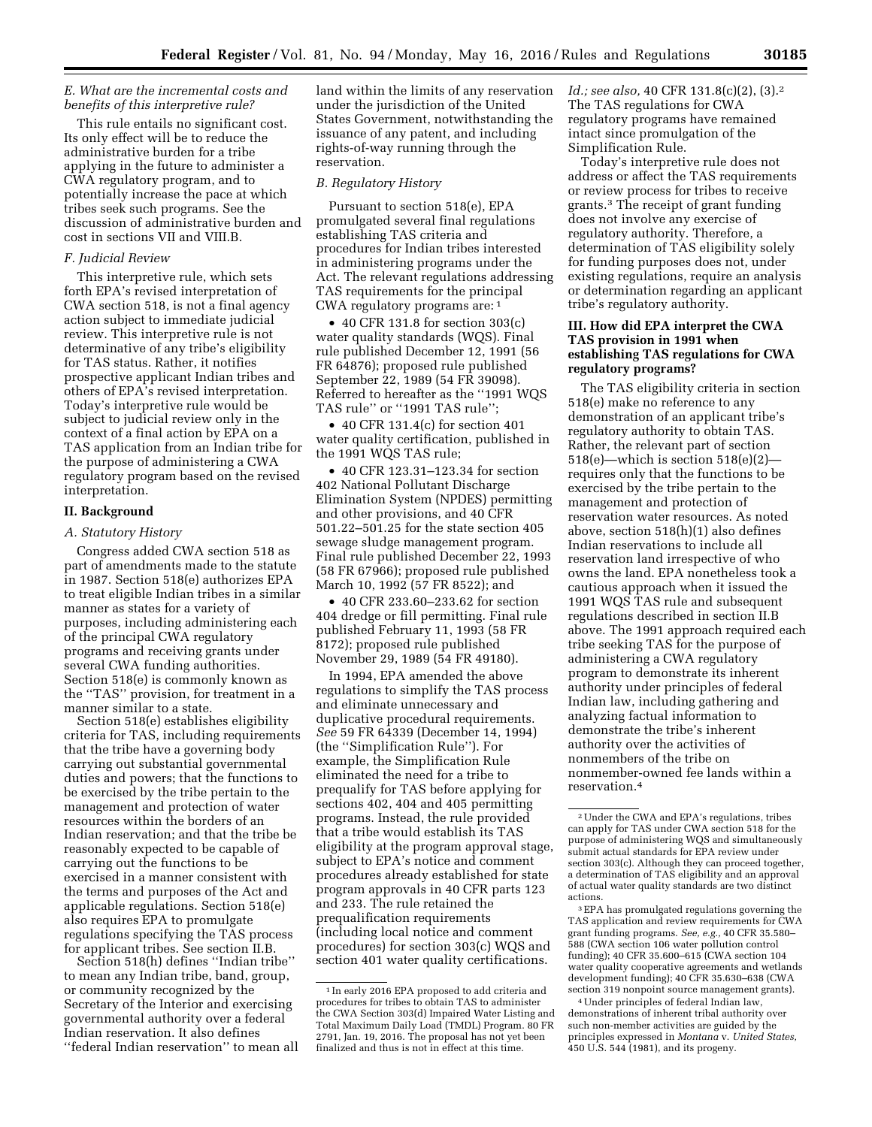### *E. What are the incremental costs and benefits of this interpretive rule?*

This rule entails no significant cost. Its only effect will be to reduce the administrative burden for a tribe applying in the future to administer a CWA regulatory program, and to potentially increase the pace at which tribes seek such programs. See the discussion of administrative burden and cost in sections VII and VIII.B.

## *F. Judicial Review*

This interpretive rule, which sets forth EPA's revised interpretation of CWA section 518, is not a final agency action subject to immediate judicial review. This interpretive rule is not determinative of any tribe's eligibility for TAS status. Rather, it notifies prospective applicant Indian tribes and others of EPA's revised interpretation. Today's interpretive rule would be subject to judicial review only in the context of a final action by EPA on a TAS application from an Indian tribe for the purpose of administering a CWA regulatory program based on the revised interpretation.

## **II. Background**

#### *A. Statutory History*

Congress added CWA section 518 as part of amendments made to the statute in 1987. Section 518(e) authorizes EPA to treat eligible Indian tribes in a similar manner as states for a variety of purposes, including administering each of the principal CWA regulatory programs and receiving grants under several CWA funding authorities. Section 518(e) is commonly known as the ''TAS'' provision, for treatment in a manner similar to a state.

Section 518(e) establishes eligibility criteria for TAS, including requirements that the tribe have a governing body carrying out substantial governmental duties and powers; that the functions to be exercised by the tribe pertain to the management and protection of water resources within the borders of an Indian reservation; and that the tribe be reasonably expected to be capable of carrying out the functions to be exercised in a manner consistent with the terms and purposes of the Act and applicable regulations. Section 518(e) also requires EPA to promulgate regulations specifying the TAS process for applicant tribes. See section II.B.

Section 518(h) defines ''Indian tribe'' to mean any Indian tribe, band, group, or community recognized by the Secretary of the Interior and exercising governmental authority over a federal Indian reservation. It also defines ''federal Indian reservation'' to mean all land within the limits of any reservation under the jurisdiction of the United States Government, notwithstanding the issuance of any patent, and including rights-of-way running through the reservation.

# *B. Regulatory History*

Pursuant to section 518(e), EPA promulgated several final regulations establishing TAS criteria and procedures for Indian tribes interested in administering programs under the Act. The relevant regulations addressing TAS requirements for the principal CWA regulatory programs are: 1

• 40 CFR 131.8 for section 303(c) water quality standards (WQS). Final rule published December 12, 1991 (56 FR 64876); proposed rule published September 22, 1989 (54 FR 39098). Referred to hereafter as the ''1991 WQS TAS rule'' or ''1991 TAS rule'';

• 40 CFR 131.4(c) for section 401 water quality certification, published in the 1991 WQS TAS rule;

• 40 CFR 123.31–123.34 for section 402 National Pollutant Discharge Elimination System (NPDES) permitting and other provisions, and 40 CFR 501.22–501.25 for the state section 405 sewage sludge management program. Final rule published December 22, 1993 (58 FR 67966); proposed rule published March 10, 1992 (57 FR 8522); and

• 40 CFR 233.60–233.62 for section 404 dredge or fill permitting. Final rule published February 11, 1993 (58 FR 8172); proposed rule published November 29, 1989 (54 FR 49180).

In 1994, EPA amended the above regulations to simplify the TAS process and eliminate unnecessary and duplicative procedural requirements. *See* 59 FR 64339 (December 14, 1994) (the ''Simplification Rule''). For example, the Simplification Rule eliminated the need for a tribe to prequalify for TAS before applying for sections 402, 404 and 405 permitting programs. Instead, the rule provided that a tribe would establish its TAS eligibility at the program approval stage, subject to EPA's notice and comment procedures already established for state program approvals in 40 CFR parts 123 and 233. The rule retained the prequalification requirements (including local notice and comment procedures) for section 303(c) WQS and section 401 water quality certifications.

*Id.; see also, 40 CFR 131.8(c)(2), (3).*<sup>2</sup> The TAS regulations for CWA regulatory programs have remained intact since promulgation of the Simplification Rule.

Today's interpretive rule does not address or affect the TAS requirements or review process for tribes to receive grants.3 The receipt of grant funding does not involve any exercise of regulatory authority. Therefore, a determination of TAS eligibility solely for funding purposes does not, under existing regulations, require an analysis or determination regarding an applicant tribe's regulatory authority.

# **III. How did EPA interpret the CWA TAS provision in 1991 when establishing TAS regulations for CWA regulatory programs?**

The TAS eligibility criteria in section 518(e) make no reference to any demonstration of an applicant tribe's regulatory authority to obtain TAS. Rather, the relevant part of section 518(e)—which is section 518(e)(2) requires only that the functions to be exercised by the tribe pertain to the management and protection of reservation water resources. As noted above, section 518(h)(1) also defines Indian reservations to include all reservation land irrespective of who owns the land. EPA nonetheless took a cautious approach when it issued the 1991 WQS TAS rule and subsequent regulations described in section II.B above. The 1991 approach required each tribe seeking TAS for the purpose of administering a CWA regulatory program to demonstrate its inherent authority under principles of federal Indian law, including gathering and analyzing factual information to demonstrate the tribe's inherent authority over the activities of nonmembers of the tribe on nonmember-owned fee lands within a reservation.4

3EPA has promulgated regulations governing the TAS application and review requirements for CWA grant funding programs. *See, e.g.,* 40 CFR 35.580– 588 (CWA section 106 water pollution control funding); 40 CFR 35.600–615 (CWA section 104 water quality cooperative agreements and wetlands development funding); 40 CFR 35.630–638 (CWA section 319 nonpoint source management grants).

4Under principles of federal Indian law, demonstrations of inherent tribal authority over such non-member activities are guided by the principles expressed in *Montana* v. *United States,*  450 U.S. 544 (1981), and its progeny.

<sup>1</sup> In early 2016 EPA proposed to add criteria and procedures for tribes to obtain TAS to administer the CWA Section 303(d) Impaired Water Listing and Total Maximum Daily Load (TMDL) Program. 80 FR 2791, Jan. 19, 2016. The proposal has not yet been finalized and thus is not in effect at this time.

<sup>2</sup>Under the CWA and EPA's regulations, tribes can apply for TAS under CWA section 518 for the purpose of administering WQS and simultaneously submit actual standards for EPA review under section 303(c). Although they can proceed together, a determination of TAS eligibility and an approval of actual water quality standards are two distinct actions.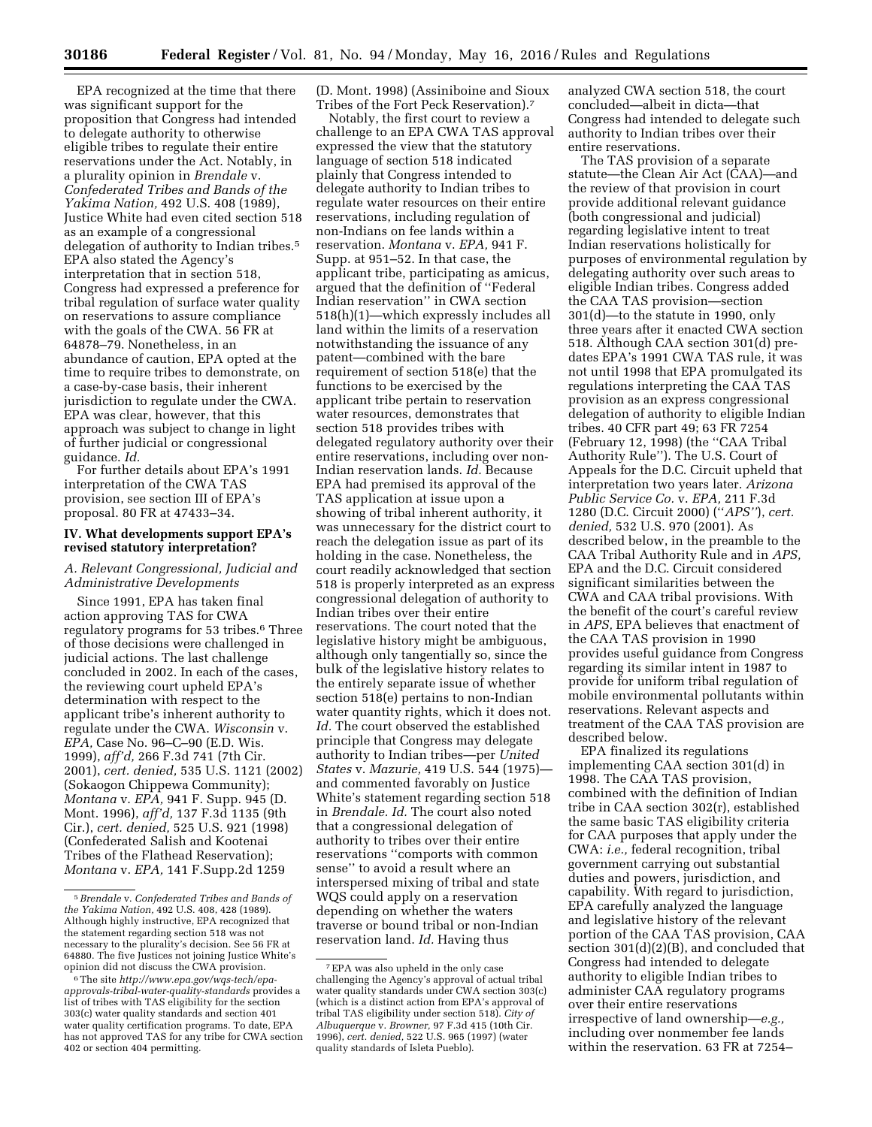EPA recognized at the time that there was significant support for the proposition that Congress had intended to delegate authority to otherwise eligible tribes to regulate their entire reservations under the Act. Notably, in a plurality opinion in *Brendale* v. *Confederated Tribes and Bands of the Yakima Nation,* 492 U.S. 408 (1989), Justice White had even cited section 518 as an example of a congressional delegation of authority to Indian tribes.5 EPA also stated the Agency's interpretation that in section 518, Congress had expressed a preference for tribal regulation of surface water quality on reservations to assure compliance with the goals of the CWA. 56 FR at 64878–79. Nonetheless, in an abundance of caution, EPA opted at the time to require tribes to demonstrate, on a case-by-case basis, their inherent jurisdiction to regulate under the CWA. EPA was clear, however, that this approach was subject to change in light of further judicial or congressional guidance. *Id.* 

For further details about EPA's 1991 interpretation of the CWA TAS provision, see section III of EPA's proposal. 80 FR at 47433–34.

### **IV. What developments support EPA's revised statutory interpretation?**

#### *A. Relevant Congressional, Judicial and Administrative Developments*

Since 1991, EPA has taken final action approving TAS for CWA regulatory programs for 53 tribes.<sup>6</sup> Three of those decisions were challenged in judicial actions. The last challenge concluded in 2002. In each of the cases, the reviewing court upheld EPA's determination with respect to the applicant tribe's inherent authority to regulate under the CWA. *Wisconsin* v. *EPA,* Case No. 96–C–90 (E.D. Wis. 1999), *aff'd,* 266 F.3d 741 (7th Cir. 2001), *cert. denied,* 535 U.S. 1121 (2002) (Sokaogon Chippewa Community); *Montana* v. *EPA,* 941 F. Supp. 945 (D. Mont. 1996), *aff'd,* 137 F.3d 1135 (9th Cir.), *cert. denied,* 525 U.S. 921 (1998) (Confederated Salish and Kootenai Tribes of the Flathead Reservation); *Montana* v. *EPA,* 141 F.Supp.2d 1259

(D. Mont. 1998) (Assiniboine and Sioux Tribes of the Fort Peck Reservation).7

Notably, the first court to review a challenge to an EPA CWA TAS approval expressed the view that the statutory language of section 518 indicated plainly that Congress intended to delegate authority to Indian tribes to regulate water resources on their entire reservations, including regulation of non-Indians on fee lands within a reservation. *Montana* v. *EPA,* 941 F. Supp. at 951–52. In that case, the applicant tribe, participating as amicus, argued that the definition of ''Federal Indian reservation'' in CWA section 518(h)(1)—which expressly includes all land within the limits of a reservation notwithstanding the issuance of any patent—combined with the bare requirement of section 518(e) that the functions to be exercised by the applicant tribe pertain to reservation water resources, demonstrates that section 518 provides tribes with delegated regulatory authority over their entire reservations, including over non-Indian reservation lands. *Id.* Because EPA had premised its approval of the TAS application at issue upon a showing of tribal inherent authority, it was unnecessary for the district court to reach the delegation issue as part of its holding in the case. Nonetheless, the court readily acknowledged that section 518 is properly interpreted as an express congressional delegation of authority to Indian tribes over their entire reservations. The court noted that the legislative history might be ambiguous, although only tangentially so, since the bulk of the legislative history relates to the entirely separate issue of whether section 518(e) pertains to non-Indian water quantity rights, which it does not. *Id.* The court observed the established principle that Congress may delegate authority to Indian tribes—per *United States* v. *Mazurie,* 419 U.S. 544 (1975) and commented favorably on Justice White's statement regarding section 518 in *Brendale. Id.* The court also noted that a congressional delegation of authority to tribes over their entire reservations ''comports with common sense'' to avoid a result where an interspersed mixing of tribal and state WQS could apply on a reservation depending on whether the waters traverse or bound tribal or non-Indian reservation land. *Id.* Having thus

analyzed CWA section 518, the court concluded—albeit in dicta—that Congress had intended to delegate such authority to Indian tribes over their entire reservations.

The TAS provision of a separate statute—the Clean Air Act (CAA)—and the review of that provision in court provide additional relevant guidance (both congressional and judicial) regarding legislative intent to treat Indian reservations holistically for purposes of environmental regulation by delegating authority over such areas to eligible Indian tribes. Congress added the CAA TAS provision—section 301(d)—to the statute in 1990, only three years after it enacted CWA section 518. Although CAA section 301(d) predates EPA's 1991 CWA TAS rule, it was not until 1998 that EPA promulgated its regulations interpreting the CAA TAS provision as an express congressional delegation of authority to eligible Indian tribes. 40 CFR part 49; 63 FR 7254 (February 12, 1998) (the ''CAA Tribal Authority Rule''). The U.S. Court of Appeals for the D.C. Circuit upheld that interpretation two years later. *Arizona Public Service Co.* v. *EPA,* 211 F.3d 1280 (D.C. Circuit 2000) (''*APS''*), *cert. denied,* 532 U.S. 970 (2001). As described below, in the preamble to the CAA Tribal Authority Rule and in *APS,*  EPA and the D.C. Circuit considered significant similarities between the CWA and CAA tribal provisions. With the benefit of the court's careful review in *APS,* EPA believes that enactment of the CAA TAS provision in 1990 provides useful guidance from Congress regarding its similar intent in 1987 to provide for uniform tribal regulation of mobile environmental pollutants within reservations. Relevant aspects and treatment of the CAA TAS provision are described below.

EPA finalized its regulations implementing CAA section 301(d) in 1998. The CAA TAS provision, combined with the definition of Indian tribe in CAA section 302(r), established the same basic TAS eligibility criteria for CAA purposes that apply under the CWA: *i.e.,* federal recognition, tribal government carrying out substantial duties and powers, jurisdiction, and capability. With regard to jurisdiction, EPA carefully analyzed the language and legislative history of the relevant portion of the CAA TAS provision, CAA section 301(d)(2)(B), and concluded that Congress had intended to delegate authority to eligible Indian tribes to administer CAA regulatory programs over their entire reservations irrespective of land ownership—*e.g.,*  including over nonmember fee lands within the reservation. 63 FR at 7254–

<sup>5</sup>*Brendale* v. *Confederated Tribes and Bands of the Yakima Nation,* 492 U.S. 408, 428 (1989). Although highly instructive, EPA recognized that the statement regarding section 518 was not necessary to the plurality's decision. See 56 FR at 64880. The five Justices not joining Justice White's opinion did not discuss the CWA provision.

<sup>6</sup>The site *[http://www.epa.gov/wqs-tech/epa](http://www.epa.gov/wqs-tech/epa-approvals-tribal-water-quality-standards)[approvals-tribal-water-quality-standards](http://www.epa.gov/wqs-tech/epa-approvals-tribal-water-quality-standards)* provides a list of tribes with TAS eligibility for the section 303(c) water quality standards and section 401 water quality certification programs. To date, EPA has not approved TAS for any tribe for CWA section 402 or section 404 permitting.

<sup>7</sup>EPA was also upheld in the only case challenging the Agency's approval of actual tribal water quality standards under CWA section 303(c) (which is a distinct action from EPA's approval of tribal TAS eligibility under section 518). *City of Albuquerque* v. *Browner,* 97 F.3d 415 (10th Cir. 1996), *cert. denied,* 522 U.S. 965 (1997) (water quality standards of Isleta Pueblo).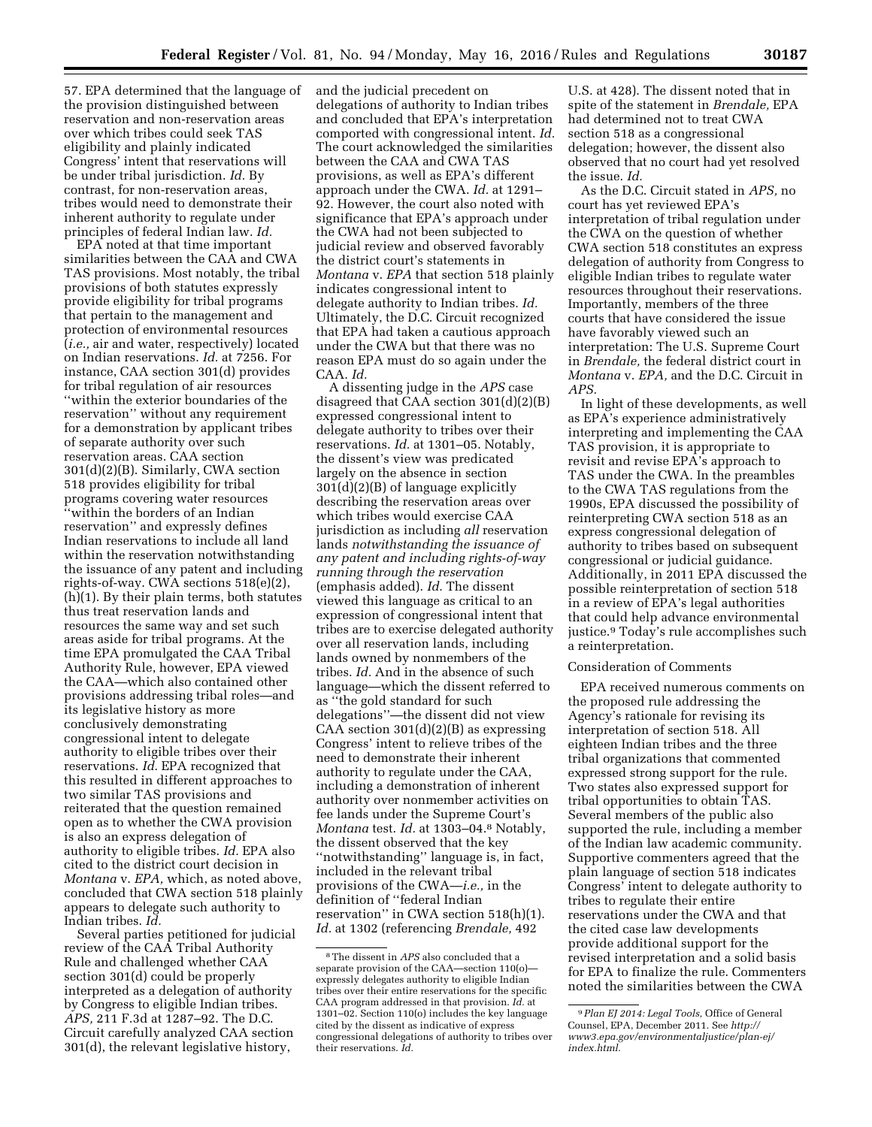57. EPA determined that the language of the provision distinguished between reservation and non-reservation areas over which tribes could seek TAS eligibility and plainly indicated Congress' intent that reservations will be under tribal jurisdiction. *Id.* By contrast, for non-reservation areas, tribes would need to demonstrate their inherent authority to regulate under principles of federal Indian law. *Id.* 

EPA noted at that time important similarities between the CAA and CWA TAS provisions. Most notably, the tribal provisions of both statutes expressly provide eligibility for tribal programs that pertain to the management and protection of environmental resources (*i.e.,* air and water, respectively) located on Indian reservations. *Id.* at 7256. For instance, CAA section 301(d) provides for tribal regulation of air resources ''within the exterior boundaries of the reservation'' without any requirement for a demonstration by applicant tribes of separate authority over such reservation areas. CAA section 301(d)(2)(B). Similarly, CWA section 518 provides eligibility for tribal programs covering water resources ''within the borders of an Indian reservation'' and expressly defines Indian reservations to include all land within the reservation notwithstanding the issuance of any patent and including rights-of-way. CWA sections 518(e)(2), (h)(1). By their plain terms, both statutes thus treat reservation lands and resources the same way and set such areas aside for tribal programs. At the time EPA promulgated the CAA Tribal Authority Rule, however, EPA viewed the CAA—which also contained other provisions addressing tribal roles—and its legislative history as more conclusively demonstrating congressional intent to delegate authority to eligible tribes over their reservations. *Id.* EPA recognized that this resulted in different approaches to two similar TAS provisions and reiterated that the question remained open as to whether the CWA provision is also an express delegation of authority to eligible tribes. *Id.* EPA also cited to the district court decision in *Montana* v. *EPA,* which, as noted above, concluded that CWA section 518 plainly appears to delegate such authority to Indian tribes. *Id.* 

Several parties petitioned for judicial review of the CAA Tribal Authority Rule and challenged whether CAA section 301(d) could be properly interpreted as a delegation of authority by Congress to eligible Indian tribes. *APS,* 211 F.3d at 1287–92. The D.C. Circuit carefully analyzed CAA section 301(d), the relevant legislative history,

and the judicial precedent on delegations of authority to Indian tribes and concluded that EPA's interpretation comported with congressional intent. *Id.*  The court acknowledged the similarities between the CAA and CWA TAS provisions, as well as EPA's different approach under the CWA. *Id.* at 1291– 92. However, the court also noted with significance that EPA's approach under the CWA had not been subjected to judicial review and observed favorably the district court's statements in *Montana* v. *EPA* that section 518 plainly indicates congressional intent to delegate authority to Indian tribes. *Id.*  Ultimately, the D.C. Circuit recognized that EPA had taken a cautious approach under the CWA but that there was no reason EPA must do so again under the CAA. *Id.* 

A dissenting judge in the *APS* case disagreed that CAA section 301(d)(2)(B) expressed congressional intent to delegate authority to tribes over their reservations. *Id.* at 1301–05. Notably, the dissent's view was predicated largely on the absence in section 301(d)(2)(B) of language explicitly describing the reservation areas over which tribes would exercise CAA jurisdiction as including *all* reservation lands *notwithstanding the issuance of any patent and including rights-of-way running through the reservation*  (emphasis added). *Id.* The dissent viewed this language as critical to an expression of congressional intent that tribes are to exercise delegated authority over all reservation lands, including lands owned by nonmembers of the tribes. *Id.* And in the absence of such language—which the dissent referred to as ''the gold standard for such delegations''—the dissent did not view CAA section  $301(d)(2)(B)$  as expressing Congress' intent to relieve tribes of the need to demonstrate their inherent authority to regulate under the CAA, including a demonstration of inherent authority over nonmember activities on fee lands under the Supreme Court's *Montana* test. *Id.* at 1303–04.8 Notably, the dissent observed that the key ''notwithstanding'' language is, in fact, included in the relevant tribal provisions of the CWA—*i.e.,* in the definition of ''federal Indian reservation'' in CWA section 518(h)(1). *Id.* at 1302 (referencing *Brendale,* 492

U.S. at 428). The dissent noted that in spite of the statement in *Brendale,* EPA had determined not to treat CWA section 518 as a congressional delegation; however, the dissent also observed that no court had yet resolved the issue. *Id.* 

As the D.C. Circuit stated in *APS,* no court has yet reviewed EPA's interpretation of tribal regulation under the CWA on the question of whether CWA section 518 constitutes an express delegation of authority from Congress to eligible Indian tribes to regulate water resources throughout their reservations. Importantly, members of the three courts that have considered the issue have favorably viewed such an interpretation: The U.S. Supreme Court in *Brendale,* the federal district court in *Montana* v. *EPA,* and the D.C. Circuit in *APS.* 

In light of these developments, as well as EPA's experience administratively interpreting and implementing the CAA TAS provision, it is appropriate to revisit and revise EPA's approach to TAS under the CWA. In the preambles to the CWA TAS regulations from the 1990s, EPA discussed the possibility of reinterpreting CWA section 518 as an express congressional delegation of authority to tribes based on subsequent congressional or judicial guidance. Additionally, in 2011 EPA discussed the possible reinterpretation of section 518 in a review of EPA's legal authorities that could help advance environmental justice.9 Today's rule accomplishes such a reinterpretation.

# Consideration of Comments

EPA received numerous comments on the proposed rule addressing the Agency's rationale for revising its interpretation of section 518. All eighteen Indian tribes and the three tribal organizations that commented expressed strong support for the rule. Two states also expressed support for tribal opportunities to obtain TAS. Several members of the public also supported the rule, including a member of the Indian law academic community. Supportive commenters agreed that the plain language of section 518 indicates Congress' intent to delegate authority to tribes to regulate their entire reservations under the CWA and that the cited case law developments provide additional support for the revised interpretation and a solid basis for EPA to finalize the rule. Commenters noted the similarities between the CWA

<sup>8</sup>The dissent in *APS* also concluded that a separate provision of the CAA—section 110(o) expressly delegates authority to eligible Indian tribes over their entire reservations for the specific CAA program addressed in that provision. *Id.* at 1301–02. Section 110(o) includes the key language cited by the dissent as indicative of express congressional delegations of authority to tribes over their reservations. *Id.* 

<sup>9</sup>*Plan EJ 2014: Legal Tools,* Office of General Counsel, EPA, December 2011. See *[http://](http://www3.epa.gov/environmentaljustice/plan-ej/index.html) [www3.epa.gov/environmentaljustice/plan-ej/](http://www3.epa.gov/environmentaljustice/plan-ej/index.html) [index.html.](http://www3.epa.gov/environmentaljustice/plan-ej/index.html)*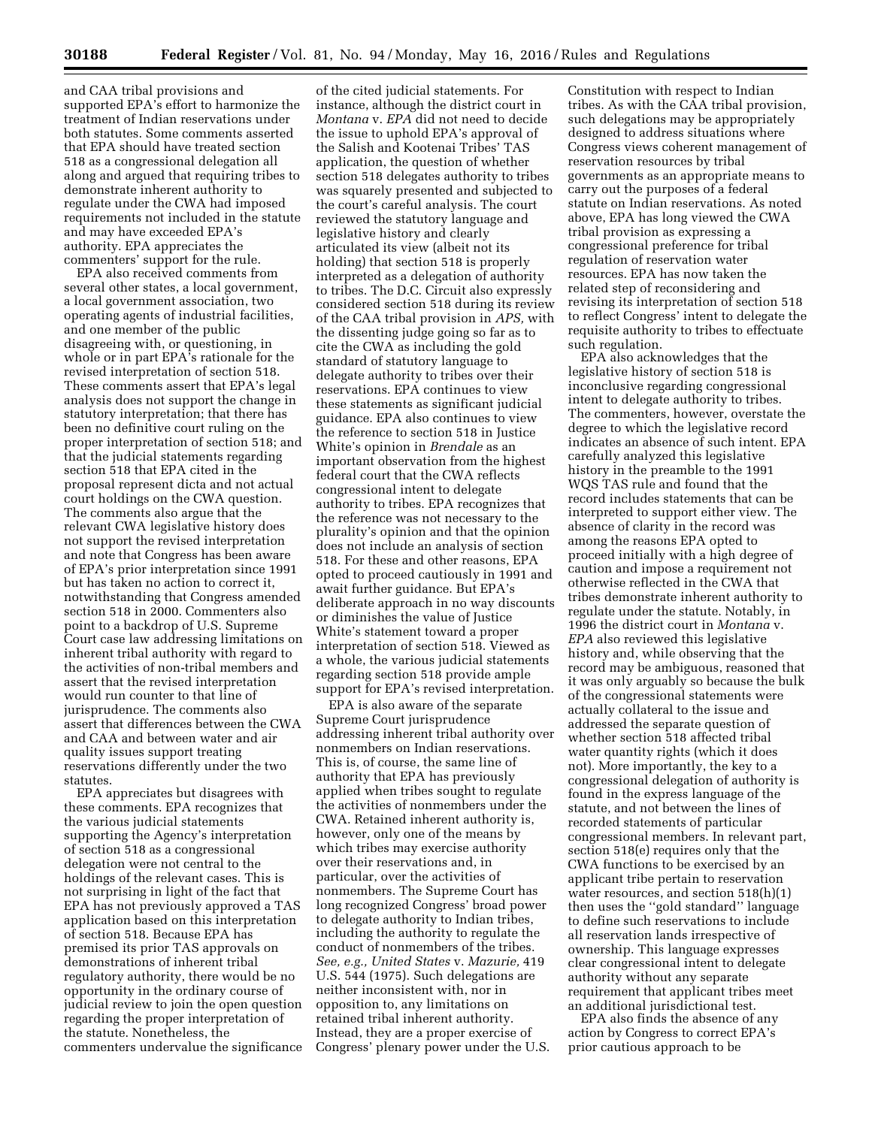and CAA tribal provisions and supported EPA's effort to harmonize the treatment of Indian reservations under both statutes. Some comments asserted that EPA should have treated section 518 as a congressional delegation all along and argued that requiring tribes to demonstrate inherent authority to regulate under the CWA had imposed requirements not included in the statute and may have exceeded EPA's authority. EPA appreciates the commenters' support for the rule.

EPA also received comments from several other states, a local government, a local government association, two operating agents of industrial facilities, and one member of the public disagreeing with, or questioning, in whole or in part EPA's rationale for the revised interpretation of section 518. These comments assert that EPA's legal analysis does not support the change in statutory interpretation; that there has been no definitive court ruling on the proper interpretation of section 518; and that the judicial statements regarding section 518 that EPA cited in the proposal represent dicta and not actual court holdings on the CWA question. The comments also argue that the relevant CWA legislative history does not support the revised interpretation and note that Congress has been aware of EPA's prior interpretation since 1991 but has taken no action to correct it, notwithstanding that Congress amended section 518 in 2000. Commenters also point to a backdrop of U.S. Supreme Court case law addressing limitations on inherent tribal authority with regard to the activities of non-tribal members and assert that the revised interpretation would run counter to that line of jurisprudence. The comments also assert that differences between the CWA and CAA and between water and air quality issues support treating reservations differently under the two statutes.

EPA appreciates but disagrees with these comments. EPA recognizes that the various judicial statements supporting the Agency's interpretation of section 518 as a congressional delegation were not central to the holdings of the relevant cases. This is not surprising in light of the fact that EPA has not previously approved a TAS application based on this interpretation of section 518. Because EPA has premised its prior TAS approvals on demonstrations of inherent tribal regulatory authority, there would be no opportunity in the ordinary course of judicial review to join the open question regarding the proper interpretation of the statute. Nonetheless, the commenters undervalue the significance

of the cited judicial statements. For instance, although the district court in *Montana* v. *EPA* did not need to decide the issue to uphold EPA's approval of the Salish and Kootenai Tribes' TAS application, the question of whether section 518 delegates authority to tribes was squarely presented and subjected to the court's careful analysis. The court reviewed the statutory language and legislative history and clearly articulated its view (albeit not its holding) that section 518 is properly interpreted as a delegation of authority to tribes. The D.C. Circuit also expressly considered section 518 during its review of the CAA tribal provision in *APS,* with the dissenting judge going so far as to cite the CWA as including the gold standard of statutory language to delegate authority to tribes over their reservations. EPA continues to view these statements as significant judicial guidance. EPA also continues to view the reference to section 518 in Justice White's opinion in *Brendale* as an important observation from the highest federal court that the CWA reflects congressional intent to delegate authority to tribes. EPA recognizes that the reference was not necessary to the plurality's opinion and that the opinion does not include an analysis of section 518. For these and other reasons, EPA opted to proceed cautiously in 1991 and await further guidance. But EPA's deliberate approach in no way discounts or diminishes the value of Justice White's statement toward a proper interpretation of section 518. Viewed as a whole, the various judicial statements regarding section 518 provide ample support for EPA's revised interpretation.

EPA is also aware of the separate Supreme Court jurisprudence addressing inherent tribal authority over nonmembers on Indian reservations. This is, of course, the same line of authority that EPA has previously applied when tribes sought to regulate the activities of nonmembers under the CWA. Retained inherent authority is, however, only one of the means by which tribes may exercise authority over their reservations and, in particular, over the activities of nonmembers. The Supreme Court has long recognized Congress' broad power to delegate authority to Indian tribes, including the authority to regulate the conduct of nonmembers of the tribes. *See, e.g., United States* v. *Mazurie,* 419 U.S. 544 (1975). Such delegations are neither inconsistent with, nor in opposition to, any limitations on retained tribal inherent authority. Instead, they are a proper exercise of Congress' plenary power under the U.S.

Constitution with respect to Indian tribes. As with the CAA tribal provision, such delegations may be appropriately designed to address situations where Congress views coherent management of reservation resources by tribal governments as an appropriate means to carry out the purposes of a federal statute on Indian reservations. As noted above, EPA has long viewed the CWA tribal provision as expressing a congressional preference for tribal regulation of reservation water resources. EPA has now taken the related step of reconsidering and revising its interpretation of section 518 to reflect Congress' intent to delegate the requisite authority to tribes to effectuate such regulation.

EPA also acknowledges that the legislative history of section 518 is inconclusive regarding congressional intent to delegate authority to tribes. The commenters, however, overstate the degree to which the legislative record indicates an absence of such intent. EPA carefully analyzed this legislative history in the preamble to the 1991 WQS TAS rule and found that the record includes statements that can be interpreted to support either view. The absence of clarity in the record was among the reasons EPA opted to proceed initially with a high degree of caution and impose a requirement not otherwise reflected in the CWA that tribes demonstrate inherent authority to regulate under the statute. Notably, in 1996 the district court in *Montana* v. *EPA* also reviewed this legislative history and, while observing that the record may be ambiguous, reasoned that it was only arguably so because the bulk of the congressional statements were actually collateral to the issue and addressed the separate question of whether section 518 affected tribal water quantity rights (which it does not). More importantly, the key to a congressional delegation of authority is found in the express language of the statute, and not between the lines of recorded statements of particular congressional members. In relevant part, section 518(e) requires only that the CWA functions to be exercised by an applicant tribe pertain to reservation water resources, and section 518(h)(1) then uses the ''gold standard'' language to define such reservations to include all reservation lands irrespective of ownership. This language expresses clear congressional intent to delegate authority without any separate requirement that applicant tribes meet an additional jurisdictional test.

EPA also finds the absence of any action by Congress to correct EPA's prior cautious approach to be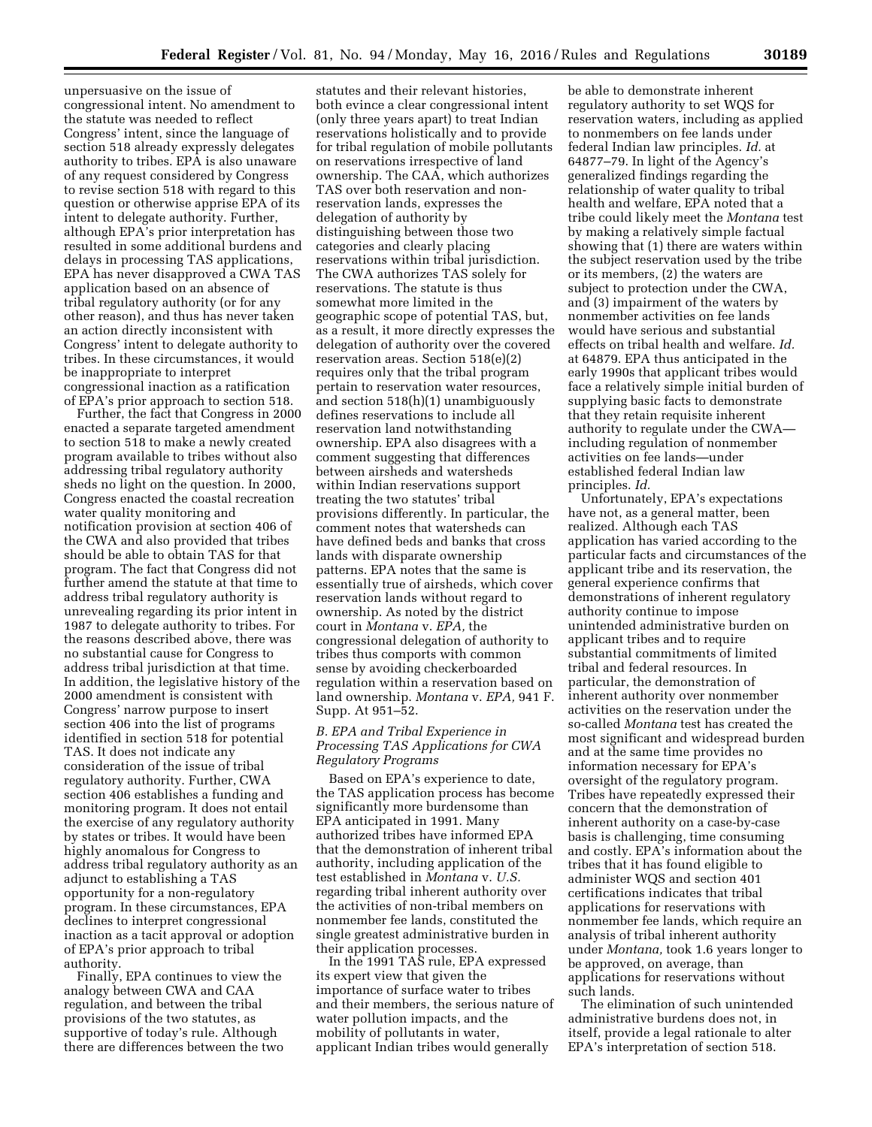unpersuasive on the issue of congressional intent. No amendment to the statute was needed to reflect Congress' intent, since the language of section 518 already expressly delegates authority to tribes. EPA is also unaware of any request considered by Congress to revise section 518 with regard to this question or otherwise apprise EPA of its intent to delegate authority. Further, although EPA's prior interpretation has resulted in some additional burdens and delays in processing TAS applications, EPA has never disapproved a CWA TAS application based on an absence of tribal regulatory authority (or for any other reason), and thus has never taken an action directly inconsistent with Congress' intent to delegate authority to tribes. In these circumstances, it would be inappropriate to interpret congressional inaction as a ratification of EPA's prior approach to section 518.

Further, the fact that Congress in 2000 enacted a separate targeted amendment to section 518 to make a newly created program available to tribes without also addressing tribal regulatory authority sheds no light on the question. In 2000, Congress enacted the coastal recreation water quality monitoring and notification provision at section 406 of the CWA and also provided that tribes should be able to obtain TAS for that program. The fact that Congress did not further amend the statute at that time to address tribal regulatory authority is unrevealing regarding its prior intent in 1987 to delegate authority to tribes. For the reasons described above, there was no substantial cause for Congress to address tribal jurisdiction at that time. In addition, the legislative history of the 2000 amendment is consistent with Congress' narrow purpose to insert section 406 into the list of programs identified in section 518 for potential TAS. It does not indicate any consideration of the issue of tribal regulatory authority. Further, CWA section 406 establishes a funding and monitoring program. It does not entail the exercise of any regulatory authority by states or tribes. It would have been highly anomalous for Congress to address tribal regulatory authority as an adjunct to establishing a TAS opportunity for a non-regulatory program. In these circumstances, EPA declines to interpret congressional inaction as a tacit approval or adoption of EPA's prior approach to tribal authority.

Finally, EPA continues to view the analogy between CWA and CAA regulation, and between the tribal provisions of the two statutes, as supportive of today's rule. Although there are differences between the two

statutes and their relevant histories, both evince a clear congressional intent (only three years apart) to treat Indian reservations holistically and to provide for tribal regulation of mobile pollutants on reservations irrespective of land ownership. The CAA, which authorizes TAS over both reservation and nonreservation lands, expresses the delegation of authority by distinguishing between those two categories and clearly placing reservations within tribal jurisdiction. The CWA authorizes TAS solely for reservations. The statute is thus somewhat more limited in the geographic scope of potential TAS, but, as a result, it more directly expresses the delegation of authority over the covered reservation areas. Section 518(e)(2) requires only that the tribal program pertain to reservation water resources, and section 518(h)(1) unambiguously defines reservations to include all reservation land notwithstanding ownership. EPA also disagrees with a comment suggesting that differences between airsheds and watersheds within Indian reservations support treating the two statutes' tribal provisions differently. In particular, the comment notes that watersheds can have defined beds and banks that cross lands with disparate ownership patterns. EPA notes that the same is essentially true of airsheds, which cover reservation lands without regard to ownership. As noted by the district court in *Montana* v. *EPA,* the congressional delegation of authority to tribes thus comports with common sense by avoiding checkerboarded regulation within a reservation based on land ownership. *Montana* v. *EPA,* 941 F. Supp. At 951–52.

# *B. EPA and Tribal Experience in Processing TAS Applications for CWA Regulatory Programs*

Based on EPA's experience to date, the TAS application process has become significantly more burdensome than EPA anticipated in 1991. Many authorized tribes have informed EPA that the demonstration of inherent tribal authority, including application of the test established in *Montana* v. *U.S.*  regarding tribal inherent authority over the activities of non-tribal members on nonmember fee lands, constituted the single greatest administrative burden in their application processes.

In the 1991 TAS rule, EPA expressed its expert view that given the importance of surface water to tribes and their members, the serious nature of water pollution impacts, and the mobility of pollutants in water, applicant Indian tribes would generally

be able to demonstrate inherent regulatory authority to set WQS for reservation waters, including as applied to nonmembers on fee lands under federal Indian law principles. *Id.* at 64877–79. In light of the Agency's generalized findings regarding the relationship of water quality to tribal health and welfare, EPA noted that a tribe could likely meet the *Montana* test by making a relatively simple factual showing that (1) there are waters within the subject reservation used by the tribe or its members, (2) the waters are subject to protection under the CWA, and (3) impairment of the waters by nonmember activities on fee lands would have serious and substantial effects on tribal health and welfare. *Id.*  at 64879. EPA thus anticipated in the early 1990s that applicant tribes would face a relatively simple initial burden of supplying basic facts to demonstrate that they retain requisite inherent authority to regulate under the CWA including regulation of nonmember activities on fee lands—under established federal Indian law principles. *Id.* 

Unfortunately, EPA's expectations have not, as a general matter, been realized. Although each TAS application has varied according to the particular facts and circumstances of the applicant tribe and its reservation, the general experience confirms that demonstrations of inherent regulatory authority continue to impose unintended administrative burden on applicant tribes and to require substantial commitments of limited tribal and federal resources. In particular, the demonstration of inherent authority over nonmember activities on the reservation under the so-called *Montana* test has created the most significant and widespread burden and at the same time provides no information necessary for EPA's oversight of the regulatory program. Tribes have repeatedly expressed their concern that the demonstration of inherent authority on a case-by-case basis is challenging, time consuming and costly. EPA's information about the tribes that it has found eligible to administer WQS and section 401 certifications indicates that tribal applications for reservations with nonmember fee lands, which require an analysis of tribal inherent authority under *Montana,* took 1.6 years longer to be approved, on average, than applications for reservations without such lands.

The elimination of such unintended administrative burdens does not, in itself, provide a legal rationale to alter EPA's interpretation of section 518.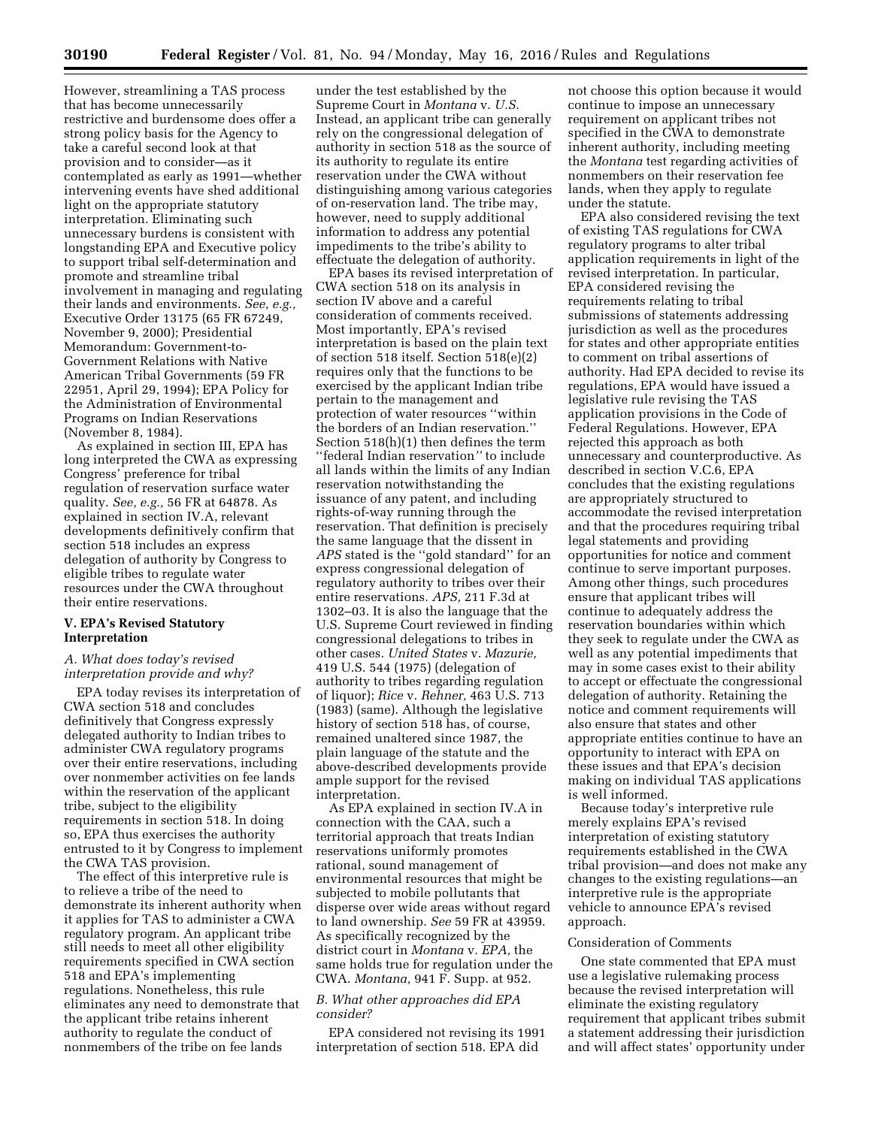However, streamlining a TAS process that has become unnecessarily restrictive and burdensome does offer a strong policy basis for the Agency to take a careful second look at that provision and to consider—as it contemplated as early as 1991—whether intervening events have shed additional light on the appropriate statutory interpretation. Eliminating such unnecessary burdens is consistent with longstanding EPA and Executive policy to support tribal self-determination and promote and streamline tribal involvement in managing and regulating their lands and environments. *See, e.g.,*  Executive Order 13175 (65 FR 67249, November 9, 2000); Presidential Memorandum: Government-to-Government Relations with Native American Tribal Governments (59 FR 22951, April 29, 1994); EPA Policy for the Administration of Environmental Programs on Indian Reservations (November 8, 1984).

As explained in section III, EPA has long interpreted the CWA as expressing Congress' preference for tribal regulation of reservation surface water quality. *See, e.g.,* 56 FR at 64878. As explained in section IV.A, relevant developments definitively confirm that section 518 includes an express delegation of authority by Congress to eligible tribes to regulate water resources under the CWA throughout their entire reservations.

## **V. EPA's Revised Statutory Interpretation**

### *A. What does today's revised interpretation provide and why?*

EPA today revises its interpretation of CWA section 518 and concludes definitively that Congress expressly delegated authority to Indian tribes to administer CWA regulatory programs over their entire reservations, including over nonmember activities on fee lands within the reservation of the applicant tribe, subject to the eligibility requirements in section 518. In doing so, EPA thus exercises the authority entrusted to it by Congress to implement the CWA TAS provision.

The effect of this interpretive rule is to relieve a tribe of the need to demonstrate its inherent authority when it applies for TAS to administer a CWA regulatory program. An applicant tribe still needs to meet all other eligibility requirements specified in CWA section 518 and EPA's implementing regulations. Nonetheless, this rule eliminates any need to demonstrate that the applicant tribe retains inherent authority to regulate the conduct of nonmembers of the tribe on fee lands

under the test established by the Supreme Court in *Montana* v. *U.S.*  Instead, an applicant tribe can generally rely on the congressional delegation of authority in section 518 as the source of its authority to regulate its entire reservation under the CWA without distinguishing among various categories of on-reservation land. The tribe may, however, need to supply additional information to address any potential impediments to the tribe's ability to effectuate the delegation of authority.

EPA bases its revised interpretation of CWA section 518 on its analysis in section IV above and a careful consideration of comments received. Most importantly, EPA's revised interpretation is based on the plain text of section 518 itself. Section 518(e)(2) requires only that the functions to be exercised by the applicant Indian tribe pertain to the management and protection of water resources ''within the borders of an Indian reservation.'' Section 518(h)(1) then defines the term ''federal Indian reservation*''* to include all lands within the limits of any Indian reservation notwithstanding the issuance of any patent, and including rights-of-way running through the reservation. That definition is precisely the same language that the dissent in *APS* stated is the ''gold standard'' for an express congressional delegation of regulatory authority to tribes over their entire reservations. *APS,* 211 F.3d at 1302–03. It is also the language that the U.S. Supreme Court reviewed in finding congressional delegations to tribes in other cases. *United States* v. *Mazurie,*  419 U.S. 544 (1975) (delegation of authority to tribes regarding regulation of liquor); *Rice* v. *Rehner,* 463 U.S. 713 (1983) (same). Although the legislative history of section 518 has, of course, remained unaltered since 1987, the plain language of the statute and the above-described developments provide ample support for the revised interpretation.

As EPA explained in section IV.A in connection with the CAA, such a territorial approach that treats Indian reservations uniformly promotes rational, sound management of environmental resources that might be subjected to mobile pollutants that disperse over wide areas without regard to land ownership. *See* 59 FR at 43959. As specifically recognized by the district court in *Montana* v. *EPA,* the same holds true for regulation under the CWA. *Montana,* 941 F. Supp. at 952.

## *B. What other approaches did EPA consider?*

EPA considered not revising its 1991 interpretation of section 518. EPA did

not choose this option because it would continue to impose an unnecessary requirement on applicant tribes not specified in the CWA to demonstrate inherent authority, including meeting the *Montana* test regarding activities of nonmembers on their reservation fee lands, when they apply to regulate under the statute.

EPA also considered revising the text of existing TAS regulations for CWA regulatory programs to alter tribal application requirements in light of the revised interpretation. In particular, EPA considered revising the requirements relating to tribal submissions of statements addressing jurisdiction as well as the procedures for states and other appropriate entities to comment on tribal assertions of authority. Had EPA decided to revise its regulations, EPA would have issued a legislative rule revising the TAS application provisions in the Code of Federal Regulations. However, EPA rejected this approach as both unnecessary and counterproductive. As described in section V.C.6, EPA concludes that the existing regulations are appropriately structured to accommodate the revised interpretation and that the procedures requiring tribal legal statements and providing opportunities for notice and comment continue to serve important purposes. Among other things, such procedures ensure that applicant tribes will continue to adequately address the reservation boundaries within which they seek to regulate under the CWA as well as any potential impediments that may in some cases exist to their ability to accept or effectuate the congressional delegation of authority. Retaining the notice and comment requirements will also ensure that states and other appropriate entities continue to have an opportunity to interact with EPA on these issues and that EPA's decision making on individual TAS applications is well informed.

Because today's interpretive rule merely explains EPA's revised interpretation of existing statutory requirements established in the CWA tribal provision—and does not make any changes to the existing regulations—an interpretive rule is the appropriate vehicle to announce EPA's revised approach.

## Consideration of Comments

One state commented that EPA must use a legislative rulemaking process because the revised interpretation will eliminate the existing regulatory requirement that applicant tribes submit a statement addressing their jurisdiction and will affect states' opportunity under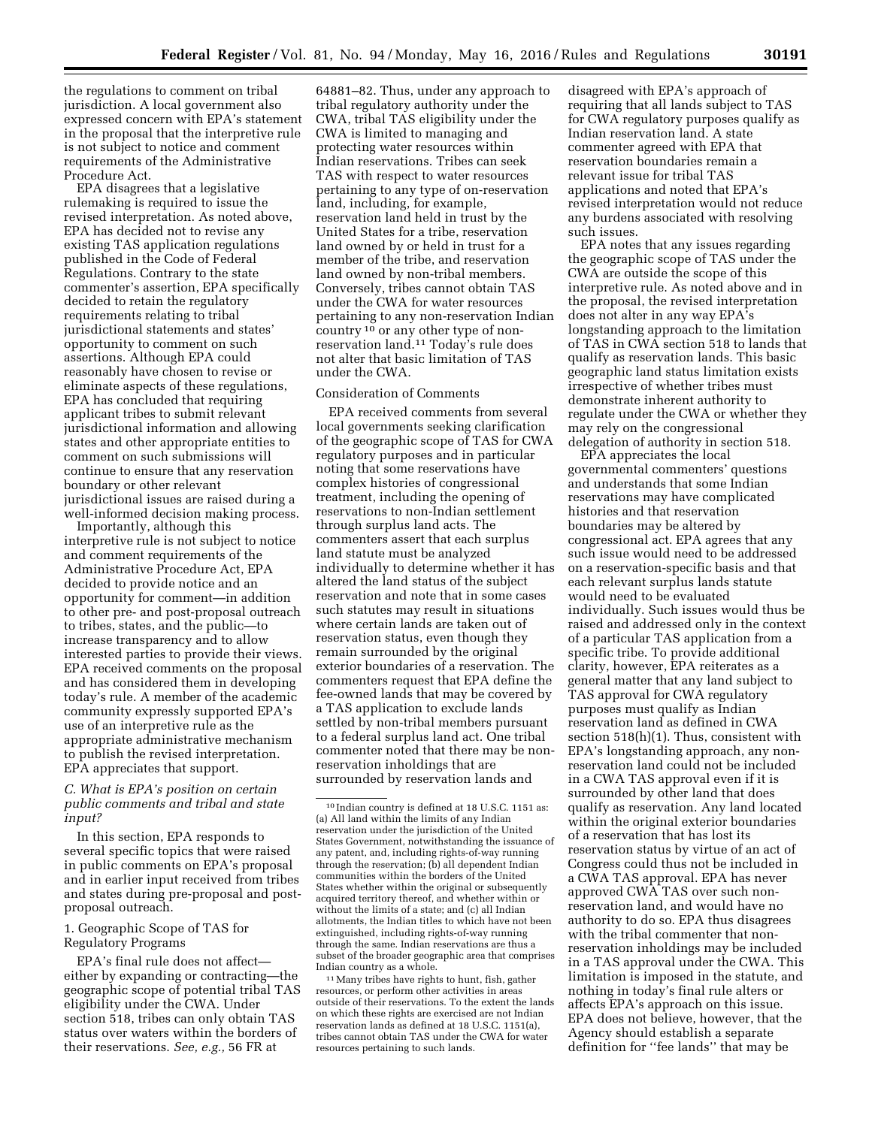the regulations to comment on tribal jurisdiction. A local government also expressed concern with EPA's statement in the proposal that the interpretive rule is not subject to notice and comment requirements of the Administrative Procedure Act.

EPA disagrees that a legislative rulemaking is required to issue the revised interpretation. As noted above, EPA has decided not to revise any existing TAS application regulations published in the Code of Federal Regulations. Contrary to the state commenter's assertion, EPA specifically decided to retain the regulatory requirements relating to tribal jurisdictional statements and states' opportunity to comment on such assertions. Although EPA could reasonably have chosen to revise or eliminate aspects of these regulations, EPA has concluded that requiring applicant tribes to submit relevant jurisdictional information and allowing states and other appropriate entities to comment on such submissions will continue to ensure that any reservation boundary or other relevant jurisdictional issues are raised during a well-informed decision making process.

Importantly, although this interpretive rule is not subject to notice and comment requirements of the Administrative Procedure Act, EPA decided to provide notice and an opportunity for comment—in addition to other pre- and post-proposal outreach to tribes, states, and the public—to increase transparency and to allow interested parties to provide their views. EPA received comments on the proposal and has considered them in developing today's rule. A member of the academic community expressly supported EPA's use of an interpretive rule as the appropriate administrative mechanism to publish the revised interpretation. EPA appreciates that support.

# *C. What is EPA's position on certain public comments and tribal and state input?*

In this section, EPA responds to several specific topics that were raised in public comments on EPA's proposal and in earlier input received from tribes and states during pre-proposal and postproposal outreach.

## 1. Geographic Scope of TAS for Regulatory Programs

EPA's final rule does not affect either by expanding or contracting—the geographic scope of potential tribal TAS eligibility under the CWA. Under section 518, tribes can only obtain TAS status over waters within the borders of their reservations. *See, e.g.,* 56 FR at

64881–82. Thus, under any approach to tribal regulatory authority under the CWA, tribal TAS eligibility under the CWA is limited to managing and protecting water resources within Indian reservations. Tribes can seek TAS with respect to water resources pertaining to any type of on-reservation land, including, for example, reservation land held in trust by the United States for a tribe, reservation land owned by or held in trust for a member of the tribe, and reservation land owned by non-tribal members. Conversely, tribes cannot obtain TAS under the CWA for water resources pertaining to any non-reservation Indian country 10 or any other type of nonreservation land.11 Today's rule does not alter that basic limitation of TAS under the CWA.

# Consideration of Comments

EPA received comments from several local governments seeking clarification of the geographic scope of TAS for CWA regulatory purposes and in particular noting that some reservations have complex histories of congressional treatment, including the opening of reservations to non-Indian settlement through surplus land acts. The commenters assert that each surplus land statute must be analyzed individually to determine whether it has altered the land status of the subject reservation and note that in some cases such statutes may result in situations where certain lands are taken out of reservation status, even though they remain surrounded by the original exterior boundaries of a reservation. The commenters request that EPA define the fee-owned lands that may be covered by a TAS application to exclude lands settled by non-tribal members pursuant to a federal surplus land act. One tribal commenter noted that there may be nonreservation inholdings that are surrounded by reservation lands and

disagreed with EPA's approach of requiring that all lands subject to TAS for CWA regulatory purposes qualify as Indian reservation land. A state commenter agreed with EPA that reservation boundaries remain a relevant issue for tribal TAS applications and noted that EPA's revised interpretation would not reduce any burdens associated with resolving such issues.

EPA notes that any issues regarding the geographic scope of TAS under the CWA are outside the scope of this interpretive rule. As noted above and in the proposal, the revised interpretation does not alter in any way EPA's longstanding approach to the limitation of TAS in CWA section 518 to lands that qualify as reservation lands. This basic geographic land status limitation exists irrespective of whether tribes must demonstrate inherent authority to regulate under the CWA or whether they may rely on the congressional delegation of authority in section 518.

EPA appreciates the local governmental commenters' questions and understands that some Indian reservations may have complicated histories and that reservation boundaries may be altered by congressional act. EPA agrees that any such issue would need to be addressed on a reservation-specific basis and that each relevant surplus lands statute would need to be evaluated individually. Such issues would thus be raised and addressed only in the context of a particular TAS application from a specific tribe. To provide additional clarity, however, EPA reiterates as a general matter that any land subject to TAS approval for CWA regulatory purposes must qualify as Indian reservation land as defined in CWA section 518(h)(1). Thus, consistent with EPA's longstanding approach, any nonreservation land could not be included in a CWA TAS approval even if it is surrounded by other land that does qualify as reservation. Any land located within the original exterior boundaries of a reservation that has lost its reservation status by virtue of an act of Congress could thus not be included in a CWA TAS approval. EPA has never approved CWA TAS over such nonreservation land, and would have no authority to do so. EPA thus disagrees with the tribal commenter that nonreservation inholdings may be included in a TAS approval under the CWA. This limitation is imposed in the statute, and nothing in today's final rule alters or affects EPA's approach on this issue. EPA does not believe, however, that the Agency should establish a separate definition for ''fee lands'' that may be

<sup>10</sup> Indian country is defined at 18 U.S.C. 1151 as: (a) All land within the limits of any Indian reservation under the jurisdiction of the United States Government, notwithstanding the issuance of any patent, and, including rights-of-way running through the reservation; (b) all dependent Indian communities within the borders of the United States whether within the original or subsequently acquired territory thereof, and whether within or without the limits of a state; and (c) all Indian allotments, the Indian titles to which have not been extinguished, including rights-of-way running through the same. Indian reservations are thus a subset of the broader geographic area that comprises Indian country as a whole.

<sup>11</sup>Many tribes have rights to hunt, fish, gather resources, or perform other activities in areas outside of their reservations. To the extent the lands on which these rights are exercised are not Indian reservation lands as defined at 18 U.S.C. 1151(a), tribes cannot obtain TAS under the CWA for water resources pertaining to such lands.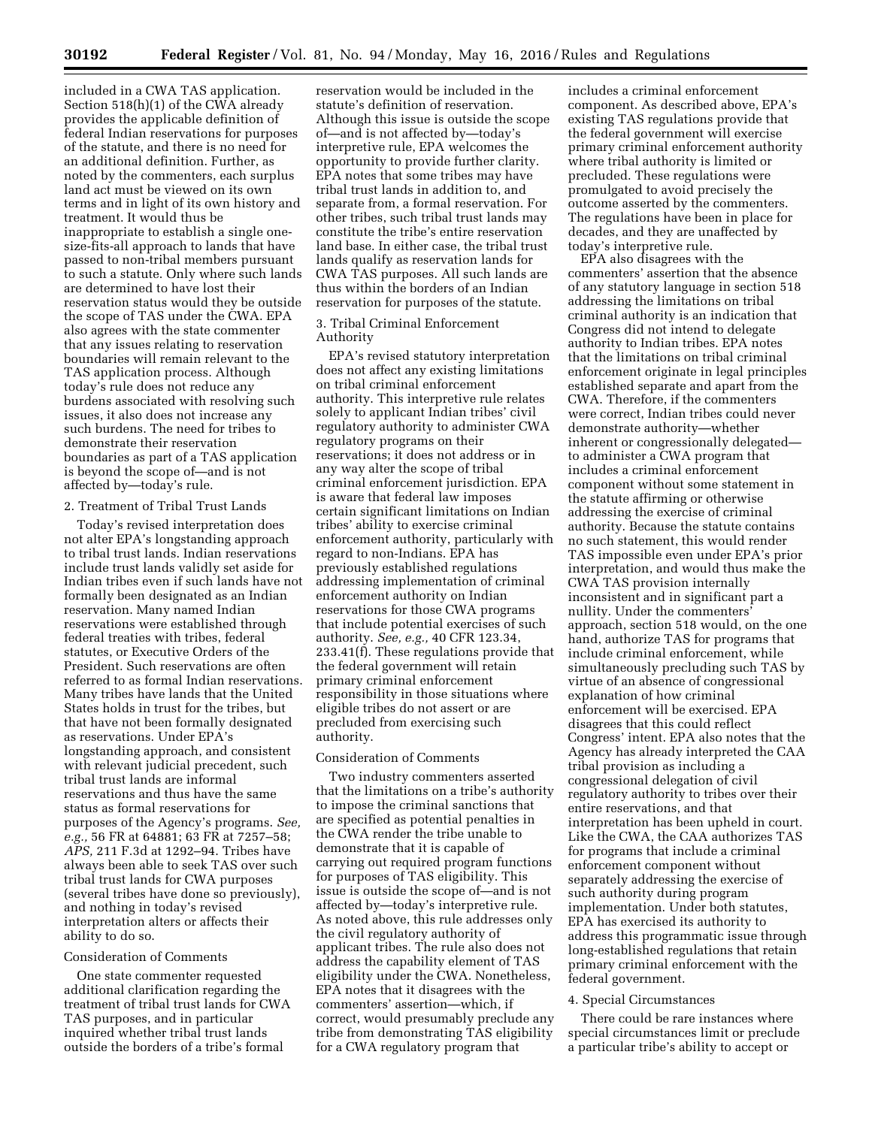included in a CWA TAS application. Section 518(h)(1) of the CWA already provides the applicable definition of federal Indian reservations for purposes of the statute, and there is no need for an additional definition. Further, as noted by the commenters, each surplus land act must be viewed on its own terms and in light of its own history and treatment. It would thus be inappropriate to establish a single onesize-fits-all approach to lands that have passed to non-tribal members pursuant to such a statute. Only where such lands are determined to have lost their reservation status would they be outside the scope of TAS under the CWA. EPA also agrees with the state commenter that any issues relating to reservation boundaries will remain relevant to the TAS application process. Although today's rule does not reduce any burdens associated with resolving such issues, it also does not increase any such burdens. The need for tribes to demonstrate their reservation boundaries as part of a TAS application is beyond the scope of—and is not affected by—today's rule.

#### 2. Treatment of Tribal Trust Lands

Today's revised interpretation does not alter EPA's longstanding approach to tribal trust lands. Indian reservations include trust lands validly set aside for Indian tribes even if such lands have not formally been designated as an Indian reservation. Many named Indian reservations were established through federal treaties with tribes, federal statutes, or Executive Orders of the President. Such reservations are often referred to as formal Indian reservations. Many tribes have lands that the United States holds in trust for the tribes, but that have not been formally designated as reservations. Under EPA's longstanding approach, and consistent with relevant judicial precedent, such tribal trust lands are informal reservations and thus have the same status as formal reservations for purposes of the Agency's programs. *See, e.g.,* 56 FR at 64881; 63 FR at 7257–58; *APS,* 211 F.3d at 1292–94. Tribes have always been able to seek TAS over such tribal trust lands for CWA purposes (several tribes have done so previously), and nothing in today's revised interpretation alters or affects their ability to do so.

#### Consideration of Comments

One state commenter requested additional clarification regarding the treatment of tribal trust lands for CWA TAS purposes, and in particular inquired whether tribal trust lands outside the borders of a tribe's formal

reservation would be included in the statute's definition of reservation. Although this issue is outside the scope of—and is not affected by—today's interpretive rule, EPA welcomes the opportunity to provide further clarity. EPA notes that some tribes may have tribal trust lands in addition to, and separate from, a formal reservation. For other tribes, such tribal trust lands may constitute the tribe's entire reservation land base. In either case, the tribal trust lands qualify as reservation lands for CWA TAS purposes. All such lands are thus within the borders of an Indian reservation for purposes of the statute.

### 3. Tribal Criminal Enforcement Authority

EPA's revised statutory interpretation does not affect any existing limitations on tribal criminal enforcement authority. This interpretive rule relates solely to applicant Indian tribes' civil regulatory authority to administer CWA regulatory programs on their reservations; it does not address or in any way alter the scope of tribal criminal enforcement jurisdiction. EPA is aware that federal law imposes certain significant limitations on Indian tribes' ability to exercise criminal enforcement authority, particularly with regard to non-Indians. EPA has previously established regulations addressing implementation of criminal enforcement authority on Indian reservations for those CWA programs that include potential exercises of such authority. *See, e.g.,* 40 CFR 123.34, 233.41(f). These regulations provide that the federal government will retain primary criminal enforcement responsibility in those situations where eligible tribes do not assert or are precluded from exercising such authority.

#### Consideration of Comments

Two industry commenters asserted that the limitations on a tribe's authority to impose the criminal sanctions that are specified as potential penalties in the CWA render the tribe unable to demonstrate that it is capable of carrying out required program functions for purposes of TAS eligibility. This issue is outside the scope of—and is not affected by—today's interpretive rule. As noted above, this rule addresses only the civil regulatory authority of applicant tribes. The rule also does not address the capability element of TAS eligibility under the CWA. Nonetheless, EPA notes that it disagrees with the commenters' assertion—which, if correct, would presumably preclude any tribe from demonstrating TAS eligibility for a CWA regulatory program that

includes a criminal enforcement component. As described above, EPA's existing TAS regulations provide that the federal government will exercise primary criminal enforcement authority where tribal authority is limited or precluded. These regulations were promulgated to avoid precisely the outcome asserted by the commenters. The regulations have been in place for decades, and they are unaffected by today's interpretive rule.

EPA also disagrees with the commenters' assertion that the absence of any statutory language in section 518 addressing the limitations on tribal criminal authority is an indication that Congress did not intend to delegate authority to Indian tribes. EPA notes that the limitations on tribal criminal enforcement originate in legal principles established separate and apart from the CWA. Therefore, if the commenters were correct, Indian tribes could never demonstrate authority—whether inherent or congressionally delegated to administer a CWA program that includes a criminal enforcement component without some statement in the statute affirming or otherwise addressing the exercise of criminal authority. Because the statute contains no such statement, this would render TAS impossible even under EPA's prior interpretation, and would thus make the CWA TAS provision internally inconsistent and in significant part a nullity. Under the commenters' approach, section 518 would, on the one hand, authorize TAS for programs that include criminal enforcement, while simultaneously precluding such TAS by virtue of an absence of congressional explanation of how criminal enforcement will be exercised. EPA disagrees that this could reflect Congress' intent. EPA also notes that the Agency has already interpreted the CAA tribal provision as including a congressional delegation of civil regulatory authority to tribes over their entire reservations, and that interpretation has been upheld in court. Like the CWA, the CAA authorizes TAS for programs that include a criminal enforcement component without separately addressing the exercise of such authority during program implementation. Under both statutes, EPA has exercised its authority to address this programmatic issue through long-established regulations that retain primary criminal enforcement with the federal government.

#### 4. Special Circumstances

There could be rare instances where special circumstances limit or preclude a particular tribe's ability to accept or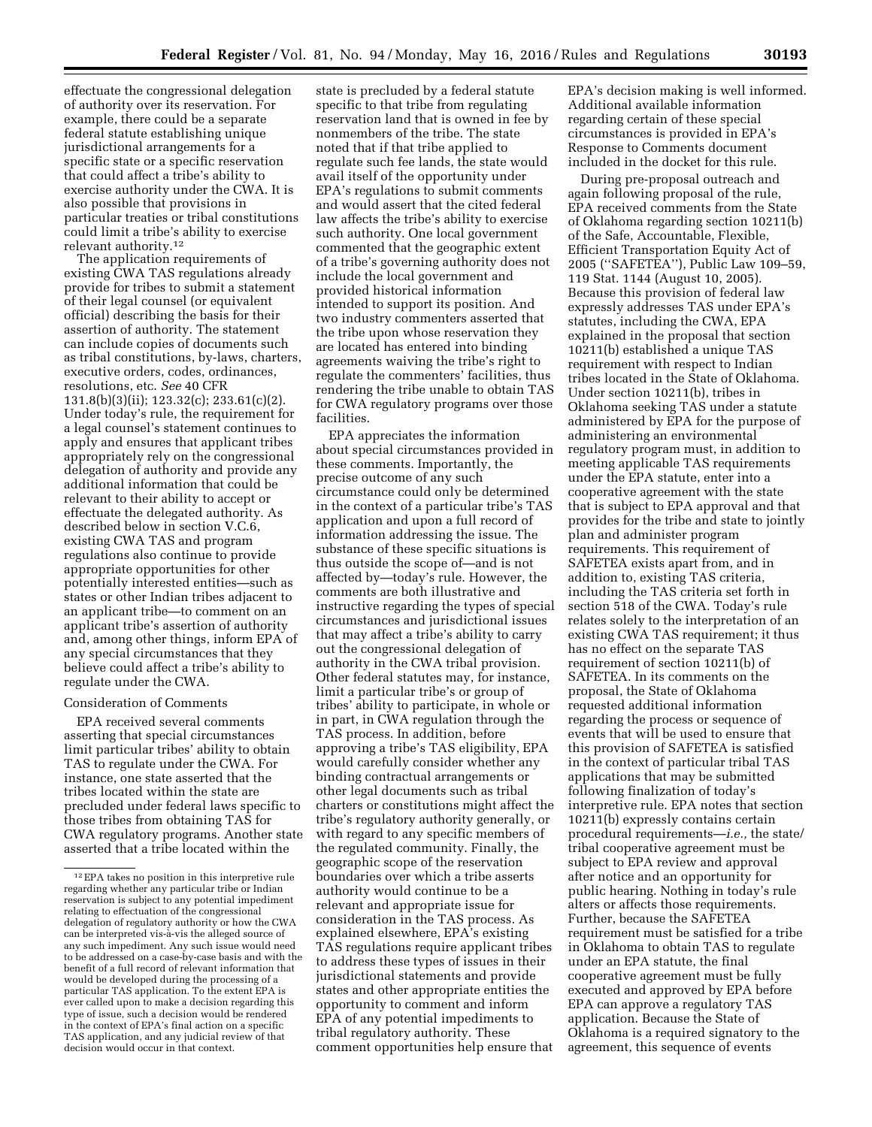effectuate the congressional delegation of authority over its reservation. For example, there could be a separate federal statute establishing unique jurisdictional arrangements for a specific state or a specific reservation that could affect a tribe's ability to exercise authority under the CWA. It is also possible that provisions in particular treaties or tribal constitutions

could limit a tribe's ability to exercise

relevant authority.12 The application requirements of existing CWA TAS regulations already provide for tribes to submit a statement of their legal counsel (or equivalent official) describing the basis for their assertion of authority. The statement can include copies of documents such as tribal constitutions, by-laws, charters, executive orders, codes, ordinances, resolutions, etc. *See* 40 CFR 131.8(b)(3)(ii); 123.32(c); 233.61(c)(2). Under today's rule, the requirement for a legal counsel's statement continues to apply and ensures that applicant tribes appropriately rely on the congressional delegation of authority and provide any additional information that could be relevant to their ability to accept or effectuate the delegated authority. As described below in section V.C.6, existing CWA TAS and program regulations also continue to provide appropriate opportunities for other potentially interested entities—such as states or other Indian tribes adjacent to an applicant tribe—to comment on an applicant tribe's assertion of authority and, among other things, inform EPA of any special circumstances that they believe could affect a tribe's ability to regulate under the CWA.

# Consideration of Comments

EPA received several comments asserting that special circumstances limit particular tribes' ability to obtain TAS to regulate under the CWA. For instance, one state asserted that the tribes located within the state are precluded under federal laws specific to those tribes from obtaining TAS for CWA regulatory programs. Another state asserted that a tribe located within the

state is precluded by a federal statute specific to that tribe from regulating reservation land that is owned in fee by nonmembers of the tribe. The state noted that if that tribe applied to regulate such fee lands, the state would avail itself of the opportunity under EPA's regulations to submit comments and would assert that the cited federal law affects the tribe's ability to exercise such authority. One local government commented that the geographic extent of a tribe's governing authority does not include the local government and provided historical information intended to support its position. And two industry commenters asserted that the tribe upon whose reservation they are located has entered into binding agreements waiving the tribe's right to regulate the commenters' facilities, thus rendering the tribe unable to obtain TAS for CWA regulatory programs over those facilities.

EPA appreciates the information about special circumstances provided in these comments. Importantly, the precise outcome of any such circumstance could only be determined in the context of a particular tribe's TAS application and upon a full record of information addressing the issue. The substance of these specific situations is thus outside the scope of—and is not affected by—today's rule. However, the comments are both illustrative and instructive regarding the types of special circumstances and jurisdictional issues that may affect a tribe's ability to carry out the congressional delegation of authority in the CWA tribal provision. Other federal statutes may, for instance, limit a particular tribe's or group of tribes' ability to participate, in whole or in part, in CWA regulation through the TAS process. In addition, before approving a tribe's TAS eligibility, EPA would carefully consider whether any binding contractual arrangements or other legal documents such as tribal charters or constitutions might affect the tribe's regulatory authority generally, or with regard to any specific members of the regulated community. Finally, the geographic scope of the reservation boundaries over which a tribe asserts authority would continue to be a relevant and appropriate issue for consideration in the TAS process. As explained elsewhere, EPA's existing TAS regulations require applicant tribes to address these types of issues in their jurisdictional statements and provide states and other appropriate entities the opportunity to comment and inform EPA of any potential impediments to tribal regulatory authority. These comment opportunities help ensure that

EPA's decision making is well informed. Additional available information regarding certain of these special circumstances is provided in EPA's Response to Comments document included in the docket for this rule.

During pre-proposal outreach and again following proposal of the rule, EPA received comments from the State of Oklahoma regarding section 10211(b) of the Safe, Accountable, Flexible, Efficient Transportation Equity Act of 2005 (''SAFETEA''), Public Law 109–59, 119 Stat. 1144 (August 10, 2005). Because this provision of federal law expressly addresses TAS under EPA's statutes, including the CWA, EPA explained in the proposal that section 10211(b) established a unique TAS requirement with respect to Indian tribes located in the State of Oklahoma. Under section 10211(b), tribes in Oklahoma seeking TAS under a statute administered by EPA for the purpose of administering an environmental regulatory program must, in addition to meeting applicable TAS requirements under the EPA statute, enter into a cooperative agreement with the state that is subject to EPA approval and that provides for the tribe and state to jointly plan and administer program requirements. This requirement of SAFETEA exists apart from, and in addition to, existing TAS criteria, including the TAS criteria set forth in section 518 of the CWA. Today's rule relates solely to the interpretation of an existing CWA TAS requirement; it thus has no effect on the separate TAS requirement of section 10211(b) of SAFETEA. In its comments on the proposal, the State of Oklahoma requested additional information regarding the process or sequence of events that will be used to ensure that this provision of SAFETEA is satisfied in the context of particular tribal TAS applications that may be submitted following finalization of today's interpretive rule. EPA notes that section 10211(b) expressly contains certain procedural requirements—*i.e.,* the state/ tribal cooperative agreement must be subject to EPA review and approval after notice and an opportunity for public hearing. Nothing in today's rule alters or affects those requirements. Further, because the SAFETEA requirement must be satisfied for a tribe in Oklahoma to obtain TAS to regulate under an EPA statute, the final cooperative agreement must be fully executed and approved by EPA before EPA can approve a regulatory TAS application. Because the State of Oklahoma is a required signatory to the agreement, this sequence of events

<sup>12</sup>EPA takes no position in this interpretive rule regarding whether any particular tribe or Indian reservation is subject to any potential impediment relating to effectuation of the congressional delegation of regulatory authority or how the CWA can be interpreted vis-à-vis the alleged source of any such impediment. Any such issue would need to be addressed on a case-by-case basis and with the benefit of a full record of relevant information that would be developed during the processing of a particular TAS application. To the extent EPA is ever called upon to make a decision regarding this type of issue, such a decision would be rendered in the context of EPA's final action on a specific TAS application, and any judicial review of that decision would occur in that context.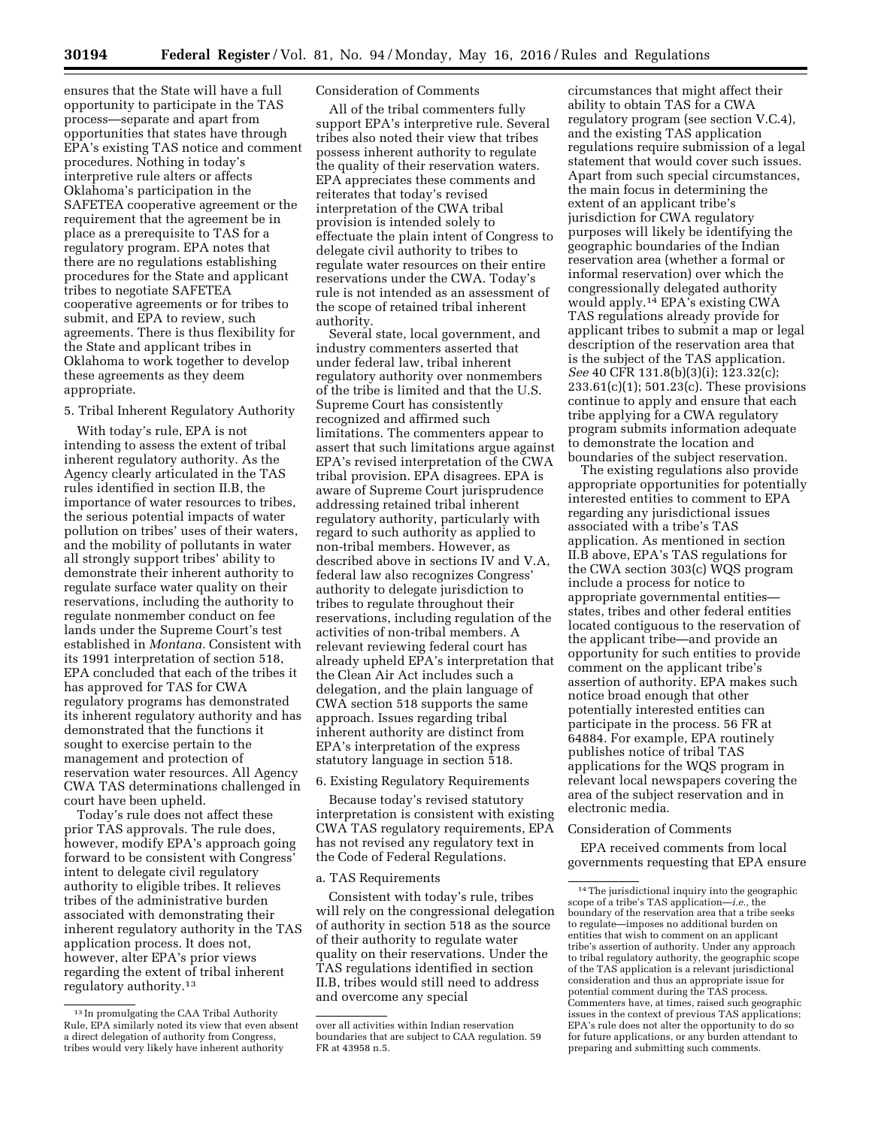ensures that the State will have a full opportunity to participate in the TAS process—separate and apart from opportunities that states have through EPA's existing TAS notice and comment procedures. Nothing in today's interpretive rule alters or affects Oklahoma's participation in the SAFETEA cooperative agreement or the requirement that the agreement be in place as a prerequisite to TAS for a regulatory program. EPA notes that there are no regulations establishing procedures for the State and applicant tribes to negotiate SAFETEA cooperative agreements or for tribes to submit, and EPA to review, such agreements. There is thus flexibility for the State and applicant tribes in Oklahoma to work together to develop these agreements as they deem appropriate.

5. Tribal Inherent Regulatory Authority

With today's rule, EPA is not intending to assess the extent of tribal inherent regulatory authority. As the Agency clearly articulated in the TAS rules identified in section II.B, the importance of water resources to tribes, the serious potential impacts of water pollution on tribes' uses of their waters, and the mobility of pollutants in water all strongly support tribes' ability to demonstrate their inherent authority to regulate surface water quality on their reservations, including the authority to regulate nonmember conduct on fee lands under the Supreme Court's test established in *Montana.* Consistent with its 1991 interpretation of section 518, EPA concluded that each of the tribes it has approved for TAS for CWA regulatory programs has demonstrated its inherent regulatory authority and has demonstrated that the functions it sought to exercise pertain to the management and protection of reservation water resources. All Agency CWA TAS determinations challenged in court have been upheld.

Today's rule does not affect these prior TAS approvals. The rule does, however, modify EPA's approach going forward to be consistent with Congress' intent to delegate civil regulatory authority to eligible tribes. It relieves tribes of the administrative burden associated with demonstrating their inherent regulatory authority in the TAS application process. It does not, however, alter EPA's prior views regarding the extent of tribal inherent regulatory authority.13

### Consideration of Comments

All of the tribal commenters fully support EPA's interpretive rule. Several tribes also noted their view that tribes possess inherent authority to regulate the quality of their reservation waters. EPA appreciates these comments and reiterates that today's revised interpretation of the CWA tribal provision is intended solely to effectuate the plain intent of Congress to delegate civil authority to tribes to regulate water resources on their entire reservations under the CWA. Today's rule is not intended as an assessment of the scope of retained tribal inherent authority.

Several state, local government, and industry commenters asserted that under federal law, tribal inherent regulatory authority over nonmembers of the tribe is limited and that the U.S. Supreme Court has consistently recognized and affirmed such limitations. The commenters appear to assert that such limitations argue against EPA's revised interpretation of the CWA tribal provision. EPA disagrees. EPA is aware of Supreme Court jurisprudence addressing retained tribal inherent regulatory authority, particularly with regard to such authority as applied to non-tribal members. However, as described above in sections IV and V.A, federal law also recognizes Congress' authority to delegate jurisdiction to tribes to regulate throughout their reservations, including regulation of the activities of non-tribal members. A relevant reviewing federal court has already upheld EPA's interpretation that the Clean Air Act includes such a delegation, and the plain language of CWA section 518 supports the same approach. Issues regarding tribal inherent authority are distinct from EPA's interpretation of the express statutory language in section 518.

6. Existing Regulatory Requirements

Because today's revised statutory interpretation is consistent with existing CWA TAS regulatory requirements, EPA has not revised any regulatory text in the Code of Federal Regulations.

### a. TAS Requirements

Consistent with today's rule, tribes will rely on the congressional delegation of authority in section 518 as the source of their authority to regulate water quality on their reservations. Under the TAS regulations identified in section II.B, tribes would still need to address and overcome any special

circumstances that might affect their ability to obtain TAS for a CWA regulatory program (see section V.C.4), and the existing TAS application regulations require submission of a legal statement that would cover such issues. Apart from such special circumstances, the main focus in determining the extent of an applicant tribe's jurisdiction for CWA regulatory purposes will likely be identifying the geographic boundaries of the Indian reservation area (whether a formal or informal reservation) over which the congressionally delegated authority would apply.14 EPA's existing CWA TAS regulations already provide for applicant tribes to submit a map or legal description of the reservation area that is the subject of the TAS application. *See* 40 CFR 131.8(b)(3)(i); 123.32(c); 233.61(c)(1); 501.23(c). These provisions continue to apply and ensure that each tribe applying for a CWA regulatory program submits information adequate to demonstrate the location and boundaries of the subject reservation.

The existing regulations also provide appropriate opportunities for potentially interested entities to comment to EPA regarding any jurisdictional issues associated with a tribe's TAS application. As mentioned in section II.B above, EPA's TAS regulations for the CWA section 303(c) WQS program include a process for notice to appropriate governmental entities states, tribes and other federal entities located contiguous to the reservation of the applicant tribe—and provide an opportunity for such entities to provide comment on the applicant tribe's assertion of authority. EPA makes such notice broad enough that other potentially interested entities can participate in the process. 56 FR at 64884. For example, EPA routinely publishes notice of tribal TAS applications for the WQS program in relevant local newspapers covering the area of the subject reservation and in electronic media.

#### Consideration of Comments

EPA received comments from local governments requesting that EPA ensure

<sup>13</sup> In promulgating the CAA Tribal Authority Rule, EPA similarly noted its view that even absent a direct delegation of authority from Congress, tribes would very likely have inherent authority

over all activities within Indian reservation boundaries that are subject to CAA regulation. 59 FR at 43958 n.5.

<sup>14</sup>The jurisdictional inquiry into the geographic scope of a tribe's TAS application—*i.e.,* the boundary of the reservation area that a tribe seeks to regulate—imposes no additional burden on entities that wish to comment on an applicant tribe's assertion of authority. Under any approach to tribal regulatory authority, the geographic scope of the TAS application is a relevant jurisdictional consideration and thus an appropriate issue for potential comment during the TAS process. Commenters have, at times, raised such geographic issues in the context of previous TAS applications; EPA's rule does not alter the opportunity to do so for future applications, or any burden attendant to preparing and submitting such comments.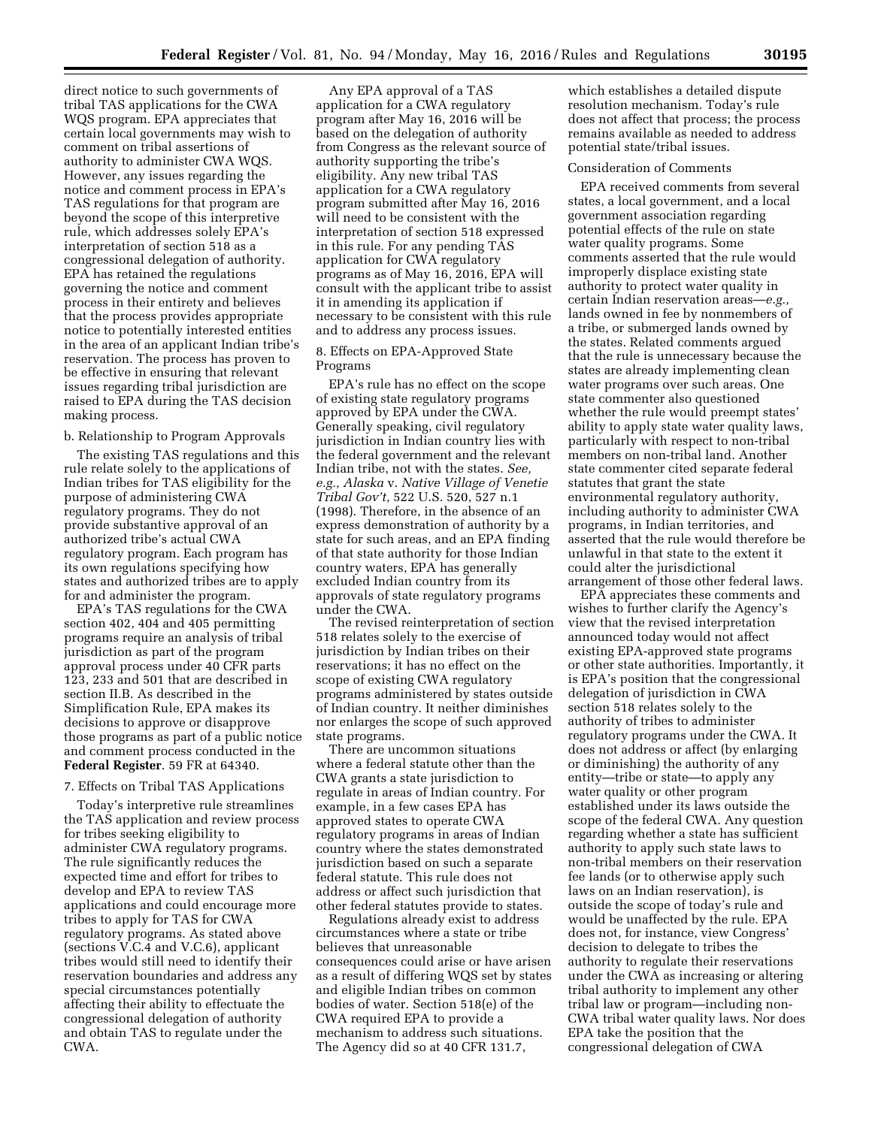direct notice to such governments of tribal TAS applications for the CWA WQS program. EPA appreciates that certain local governments may wish to comment on tribal assertions of authority to administer CWA WQS. However, any issues regarding the notice and comment process in EPA's TAS regulations for that program are beyond the scope of this interpretive rule, which addresses solely EPA's interpretation of section 518 as a congressional delegation of authority. EPA has retained the regulations governing the notice and comment process in their entirety and believes that the process provides appropriate notice to potentially interested entities in the area of an applicant Indian tribe's reservation. The process has proven to be effective in ensuring that relevant issues regarding tribal jurisdiction are raised to EPA during the TAS decision making process.

## b. Relationship to Program Approvals

The existing TAS regulations and this rule relate solely to the applications of Indian tribes for TAS eligibility for the purpose of administering CWA regulatory programs. They do not provide substantive approval of an authorized tribe's actual CWA regulatory program. Each program has its own regulations specifying how states and authorized tribes are to apply for and administer the program.

EPA's TAS regulations for the CWA section 402, 404 and 405 permitting programs require an analysis of tribal jurisdiction as part of the program approval process under 40 CFR parts 123, 233 and 501 that are described in section II.B. As described in the Simplification Rule, EPA makes its decisions to approve or disapprove those programs as part of a public notice and comment process conducted in the **Federal Register**. 59 FR at 64340.

#### 7. Effects on Tribal TAS Applications

Today's interpretive rule streamlines the TAS application and review process for tribes seeking eligibility to administer CWA regulatory programs. The rule significantly reduces the expected time and effort for tribes to develop and EPA to review TAS applications and could encourage more tribes to apply for TAS for CWA regulatory programs. As stated above (sections V.C.4 and V.C.6), applicant tribes would still need to identify their reservation boundaries and address any special circumstances potentially affecting their ability to effectuate the congressional delegation of authority and obtain TAS to regulate under the CWA.

Any EPA approval of a TAS application for a CWA regulatory program after May 16, 2016 will be based on the delegation of authority from Congress as the relevant source of authority supporting the tribe's eligibility. Any new tribal TAS application for a CWA regulatory program submitted after May 16, 2016 will need to be consistent with the interpretation of section 518 expressed in this rule. For any pending TAS application for CWA regulatory programs as of May 16, 2016, EPA will consult with the applicant tribe to assist it in amending its application if necessary to be consistent with this rule and to address any process issues.

8. Effects on EPA-Approved State Programs

EPA's rule has no effect on the scope of existing state regulatory programs approved by EPA under the CWA. Generally speaking, civil regulatory jurisdiction in Indian country lies with the federal government and the relevant Indian tribe, not with the states. *See, e.g., Alaska* v. *Native Village of Venetie Tribal Gov't,* 522 U.S. 520, 527 n.1 (1998). Therefore, in the absence of an express demonstration of authority by a state for such areas, and an EPA finding of that state authority for those Indian country waters, EPA has generally excluded Indian country from its approvals of state regulatory programs under the CWA.

The revised reinterpretation of section 518 relates solely to the exercise of jurisdiction by Indian tribes on their reservations; it has no effect on the scope of existing CWA regulatory programs administered by states outside of Indian country. It neither diminishes nor enlarges the scope of such approved state programs.

There are uncommon situations where a federal statute other than the CWA grants a state jurisdiction to regulate in areas of Indian country. For example, in a few cases EPA has approved states to operate CWA regulatory programs in areas of Indian country where the states demonstrated jurisdiction based on such a separate federal statute. This rule does not address or affect such jurisdiction that other federal statutes provide to states.

Regulations already exist to address circumstances where a state or tribe believes that unreasonable consequences could arise or have arisen as a result of differing WQS set by states and eligible Indian tribes on common bodies of water. Section 518(e) of the CWA required EPA to provide a mechanism to address such situations. The Agency did so at 40 CFR 131.7,

which establishes a detailed dispute resolution mechanism. Today's rule does not affect that process; the process remains available as needed to address potential state/tribal issues.

#### Consideration of Comments

EPA received comments from several states, a local government, and a local government association regarding potential effects of the rule on state water quality programs. Some comments asserted that the rule would improperly displace existing state authority to protect water quality in certain Indian reservation areas—*e.g.,*  lands owned in fee by nonmembers of a tribe, or submerged lands owned by the states. Related comments argued that the rule is unnecessary because the states are already implementing clean water programs over such areas. One state commenter also questioned whether the rule would preempt states' ability to apply state water quality laws, particularly with respect to non-tribal members on non-tribal land. Another state commenter cited separate federal statutes that grant the state environmental regulatory authority, including authority to administer CWA programs, in Indian territories, and asserted that the rule would therefore be unlawful in that state to the extent it could alter the jurisdictional arrangement of those other federal laws.

EPA appreciates these comments and wishes to further clarify the Agency's view that the revised interpretation announced today would not affect existing EPA-approved state programs or other state authorities. Importantly, it is EPA's position that the congressional delegation of jurisdiction in CWA section 518 relates solely to the authority of tribes to administer regulatory programs under the CWA. It does not address or affect (by enlarging or diminishing) the authority of any entity—tribe or state—to apply any water quality or other program established under its laws outside the scope of the federal CWA. Any question regarding whether a state has sufficient authority to apply such state laws to non-tribal members on their reservation fee lands (or to otherwise apply such laws on an Indian reservation), is outside the scope of today's rule and would be unaffected by the rule. EPA does not, for instance, view Congress' decision to delegate to tribes the authority to regulate their reservations under the CWA as increasing or altering tribal authority to implement any other tribal law or program—including non-CWA tribal water quality laws. Nor does EPA take the position that the congressional delegation of CWA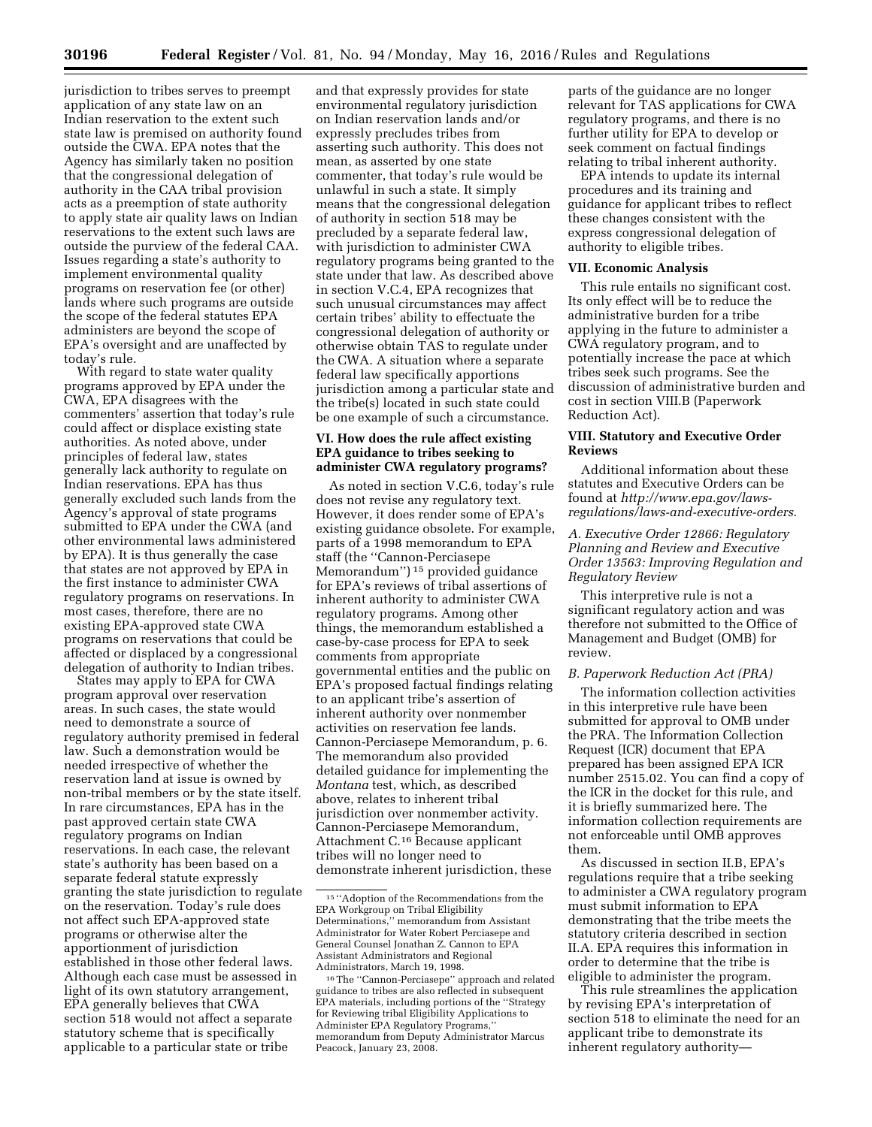jurisdiction to tribes serves to preempt application of any state law on an Indian reservation to the extent such state law is premised on authority found outside the CWA. EPA notes that the Agency has similarly taken no position that the congressional delegation of authority in the CAA tribal provision acts as a preemption of state authority to apply state air quality laws on Indian reservations to the extent such laws are outside the purview of the federal CAA. Issues regarding a state's authority to implement environmental quality programs on reservation fee (or other) lands where such programs are outside the scope of the federal statutes EPA administers are beyond the scope of EPA's oversight and are unaffected by today's rule.

With regard to state water quality programs approved by EPA under the CWA, EPA disagrees with the commenters' assertion that today's rule could affect or displace existing state authorities. As noted above, under principles of federal law, states generally lack authority to regulate on Indian reservations. EPA has thus generally excluded such lands from the Agency's approval of state programs submitted to EPA under the CWA (and other environmental laws administered by EPA). It is thus generally the case that states are not approved by EPA in the first instance to administer CWA regulatory programs on reservations. In most cases, therefore, there are no existing EPA-approved state CWA programs on reservations that could be affected or displaced by a congressional delegation of authority to Indian tribes.

States may apply to EPA for CWA program approval over reservation areas. In such cases, the state would need to demonstrate a source of regulatory authority premised in federal law. Such a demonstration would be needed irrespective of whether the reservation land at issue is owned by non-tribal members or by the state itself. In rare circumstances, EPA has in the past approved certain state CWA regulatory programs on Indian reservations. In each case, the relevant state's authority has been based on a separate federal statute expressly granting the state jurisdiction to regulate on the reservation. Today's rule does not affect such EPA-approved state programs or otherwise alter the apportionment of jurisdiction established in those other federal laws. Although each case must be assessed in light of its own statutory arrangement, EPA generally believes that CWA section 518 would not affect a separate statutory scheme that is specifically applicable to a particular state or tribe

and that expressly provides for state environmental regulatory jurisdiction on Indian reservation lands and/or expressly precludes tribes from asserting such authority. This does not mean, as asserted by one state commenter, that today's rule would be unlawful in such a state. It simply means that the congressional delegation of authority in section 518 may be precluded by a separate federal law, with jurisdiction to administer CWA regulatory programs being granted to the state under that law. As described above in section V.C.4, EPA recognizes that such unusual circumstances may affect certain tribes' ability to effectuate the congressional delegation of authority or otherwise obtain TAS to regulate under the CWA. A situation where a separate federal law specifically apportions jurisdiction among a particular state and the tribe(s) located in such state could be one example of such a circumstance.

## **VI. How does the rule affect existing EPA guidance to tribes seeking to administer CWA regulatory programs?**

As noted in section V.C.6, today's rule does not revise any regulatory text. However, it does render some of EPA's existing guidance obsolete. For example, parts of a 1998 memorandum to EPA staff (the ''Cannon-Perciasepe Memorandum'') 15 provided guidance for EPA's reviews of tribal assertions of inherent authority to administer CWA regulatory programs. Among other things, the memorandum established a case-by-case process for EPA to seek comments from appropriate governmental entities and the public on EPA's proposed factual findings relating to an applicant tribe's assertion of inherent authority over nonmember activities on reservation fee lands. Cannon-Perciasepe Memorandum, p. 6. The memorandum also provided detailed guidance for implementing the *Montana* test, which, as described above, relates to inherent tribal jurisdiction over nonmember activity. Cannon-Perciasepe Memorandum, Attachment C.16 Because applicant tribes will no longer need to demonstrate inherent jurisdiction, these

parts of the guidance are no longer relevant for TAS applications for CWA regulatory programs, and there is no further utility for EPA to develop or seek comment on factual findings relating to tribal inherent authority.

EPA intends to update its internal procedures and its training and guidance for applicant tribes to reflect these changes consistent with the express congressional delegation of authority to eligible tribes.

#### **VII. Economic Analysis**

This rule entails no significant cost. Its only effect will be to reduce the administrative burden for a tribe applying in the future to administer a CWA regulatory program, and to potentially increase the pace at which tribes seek such programs. See the discussion of administrative burden and cost in section VIII.B (Paperwork Reduction Act).

# **VIII. Statutory and Executive Order Reviews**

Additional information about these statutes and Executive Orders can be found at *[http://www.epa.gov/laws](http://www.epa.gov/laws-regulations/laws-and-executive-orders)[regulations/laws-and-executive-orders](http://www.epa.gov/laws-regulations/laws-and-executive-orders)*.

*A. Executive Order 12866: Regulatory Planning and Review and Executive Order 13563: Improving Regulation and Regulatory Review* 

This interpretive rule is not a significant regulatory action and was therefore not submitted to the Office of Management and Budget (OMB) for review.

## *B. Paperwork Reduction Act (PRA)*

The information collection activities in this interpretive rule have been submitted for approval to OMB under the PRA. The Information Collection Request (ICR) document that EPA prepared has been assigned EPA ICR number 2515.02. You can find a copy of the ICR in the docket for this rule, and it is briefly summarized here. The information collection requirements are not enforceable until OMB approves them.

As discussed in section II.B, EPA's regulations require that a tribe seeking to administer a CWA regulatory program must submit information to EPA demonstrating that the tribe meets the statutory criteria described in section II.A. EPA requires this information in order to determine that the tribe is eligible to administer the program.

This rule streamlines the application by revising EPA's interpretation of section 518 to eliminate the need for an applicant tribe to demonstrate its inherent regulatory authority—

<sup>15</sup> ''Adoption of the Recommendations from the EPA Workgroup on Tribal Eligibility Determinations,'' memorandum from Assistant Administrator for Water Robert Perciasepe and General Counsel Jonathan Z. Cannon to EPA Assistant Administrators and Regional Administrators, March 19, 1998.

<sup>16</sup>The ''Cannon-Perciasepe'' approach and related guidance to tribes are also reflected in subsequent EPA materials, including portions of the ''Strategy for Reviewing tribal Eligibility Applications to Administer EPA Regulatory Programs,'' memorandum from Deputy Administrator Marcus Peacock, January 23, 2008.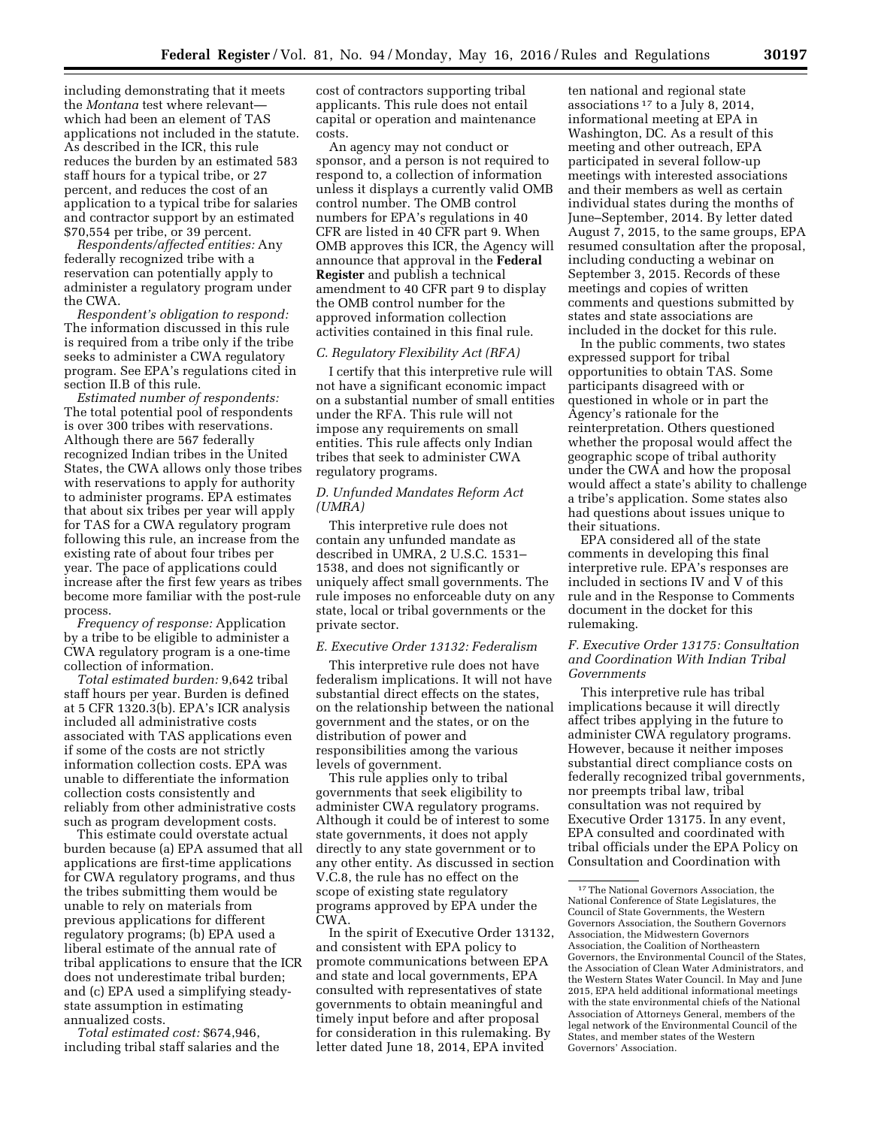including demonstrating that it meets the *Montana* test where relevant which had been an element of TAS applications not included in the statute. As described in the ICR, this rule reduces the burden by an estimated 583 staff hours for a typical tribe, or 27 percent, and reduces the cost of an application to a typical tribe for salaries and contractor support by an estimated \$70,554 per tribe, or 39 percent.

*Respondents/affected entities:* Any federally recognized tribe with a reservation can potentially apply to administer a regulatory program under the CWA.

*Respondent's obligation to respond:*  The information discussed in this rule is required from a tribe only if the tribe seeks to administer a CWA regulatory program. See EPA's regulations cited in section II.B of this rule.

*Estimated number of respondents:*  The total potential pool of respondents is over 300 tribes with reservations. Although there are 567 federally recognized Indian tribes in the United States, the CWA allows only those tribes with reservations to apply for authority to administer programs. EPA estimates that about six tribes per year will apply for TAS for a CWA regulatory program following this rule, an increase from the existing rate of about four tribes per year. The pace of applications could increase after the first few years as tribes become more familiar with the post-rule process.

*Frequency of response:* Application by a tribe to be eligible to administer a CWA regulatory program is a one-time collection of information.

*Total estimated burden:* 9,642 tribal staff hours per year. Burden is defined at 5 CFR 1320.3(b). EPA's ICR analysis included all administrative costs associated with TAS applications even if some of the costs are not strictly information collection costs. EPA was unable to differentiate the information collection costs consistently and reliably from other administrative costs such as program development costs.

This estimate could overstate actual burden because (a) EPA assumed that all applications are first-time applications for CWA regulatory programs, and thus the tribes submitting them would be unable to rely on materials from previous applications for different regulatory programs; (b) EPA used a liberal estimate of the annual rate of tribal applications to ensure that the ICR does not underestimate tribal burden; and (c) EPA used a simplifying steadystate assumption in estimating annualized costs.

*Total estimated cost:* \$674,946, including tribal staff salaries and the

cost of contractors supporting tribal applicants. This rule does not entail capital or operation and maintenance costs.

An agency may not conduct or sponsor, and a person is not required to respond to, a collection of information unless it displays a currently valid OMB control number. The OMB control numbers for EPA's regulations in 40 CFR are listed in 40 CFR part 9. When OMB approves this ICR, the Agency will announce that approval in the **Federal Register** and publish a technical amendment to 40 CFR part 9 to display the OMB control number for the approved information collection activities contained in this final rule.

#### *C. Regulatory Flexibility Act (RFA)*

I certify that this interpretive rule will not have a significant economic impact on a substantial number of small entities under the RFA. This rule will not impose any requirements on small entities. This rule affects only Indian tribes that seek to administer CWA regulatory programs.

## *D. Unfunded Mandates Reform Act (UMRA)*

This interpretive rule does not contain any unfunded mandate as described in UMRA, 2 U.S.C. 1531– 1538, and does not significantly or uniquely affect small governments. The rule imposes no enforceable duty on any state, local or tribal governments or the private sector.

#### *E. Executive Order 13132: Federalism*

This interpretive rule does not have federalism implications. It will not have substantial direct effects on the states, on the relationship between the national government and the states, or on the distribution of power and responsibilities among the various levels of government.

This rule applies only to tribal governments that seek eligibility to administer CWA regulatory programs. Although it could be of interest to some state governments, it does not apply directly to any state government or to any other entity. As discussed in section V.C.8, the rule has no effect on the scope of existing state regulatory programs approved by EPA under the CWA.

In the spirit of Executive Order 13132, and consistent with EPA policy to promote communications between EPA and state and local governments, EPA consulted with representatives of state governments to obtain meaningful and timely input before and after proposal for consideration in this rulemaking. By letter dated June 18, 2014, EPA invited

ten national and regional state associations 17 to a July 8, 2014, informational meeting at EPA in Washington, DC. As a result of this meeting and other outreach, EPA participated in several follow-up meetings with interested associations and their members as well as certain individual states during the months of June–September, 2014. By letter dated August 7, 2015, to the same groups, EPA resumed consultation after the proposal, including conducting a webinar on September 3, 2015. Records of these meetings and copies of written comments and questions submitted by states and state associations are included in the docket for this rule.

In the public comments, two states expressed support for tribal opportunities to obtain TAS. Some participants disagreed with or questioned in whole or in part the Agency's rationale for the reinterpretation. Others questioned whether the proposal would affect the geographic scope of tribal authority under the CWA and how the proposal would affect a state's ability to challenge a tribe's application. Some states also had questions about issues unique to their situations.

EPA considered all of the state comments in developing this final interpretive rule. EPA's responses are included in sections IV and V of this rule and in the Response to Comments document in the docket for this rulemaking.

## *F. Executive Order 13175: Consultation and Coordination With Indian Tribal Governments*

This interpretive rule has tribal implications because it will directly affect tribes applying in the future to administer CWA regulatory programs. However, because it neither imposes substantial direct compliance costs on federally recognized tribal governments, nor preempts tribal law, tribal consultation was not required by Executive Order 13175. In any event, EPA consulted and coordinated with tribal officials under the EPA Policy on Consultation and Coordination with

<sup>17</sup>The National Governors Association, the National Conference of State Legislatures, the Council of State Governments, the Western Governors Association, the Southern Governors Association, the Midwestern Governors Association, the Coalition of Northeastern Governors, the Environmental Council of the States, the Association of Clean Water Administrators, and the Western States Water Council. In May and June 2015, EPA held additional informational meetings with the state environmental chiefs of the National Association of Attorneys General, members of the legal network of the Environmental Council of the States, and member states of the Western Governors' Association.